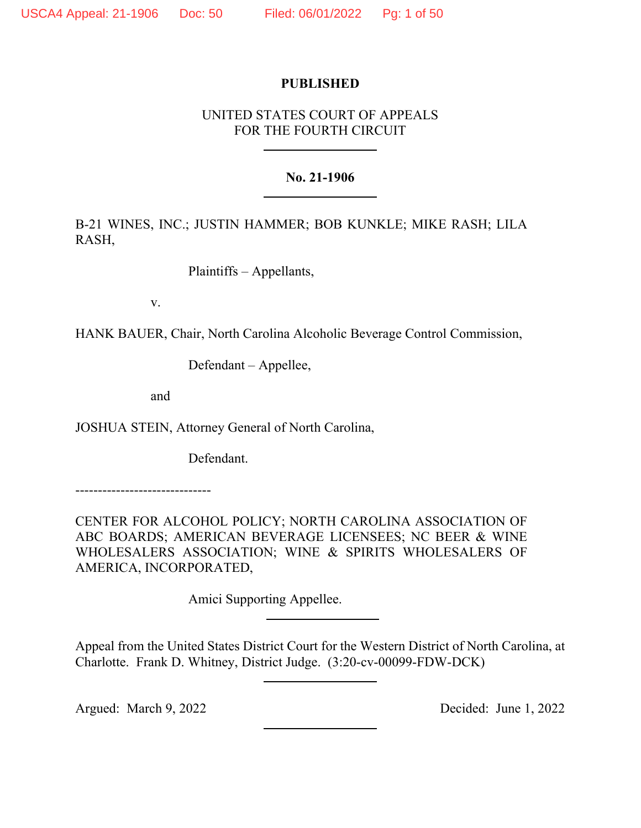# **PUBLISHED**

# UNITED STATES COURT OF APPEALS FOR THE FOURTH CIRCUIT

# **No. 21-1906**

B-21 WINES, INC.; JUSTIN HAMMER; BOB KUNKLE; MIKE RASH; LILA RASH,

Plaintiffs – Appellants,

v.

HANK BAUER, Chair, North Carolina Alcoholic Beverage Control Commission,

Defendant – Appellee,

and

JOSHUA STEIN, Attorney General of North Carolina,

Defendant.

------------------------------

CENTER FOR ALCOHOL POLICY; NORTH CAROLINA ASSOCIATION OF ABC BOARDS; AMERICAN BEVERAGE LICENSEES; NC BEER & WINE WHOLESALERS ASSOCIATION; WINE & SPIRITS WHOLESALERS OF AMERICA, INCORPORATED,

Amici Supporting Appellee.

Appeal from the United States District Court for the Western District of North Carolina, at Charlotte. Frank D. Whitney, District Judge. (3:20-cv-00099-FDW-DCK)

Argued: March 9, 2022 Decided: June 1, 2022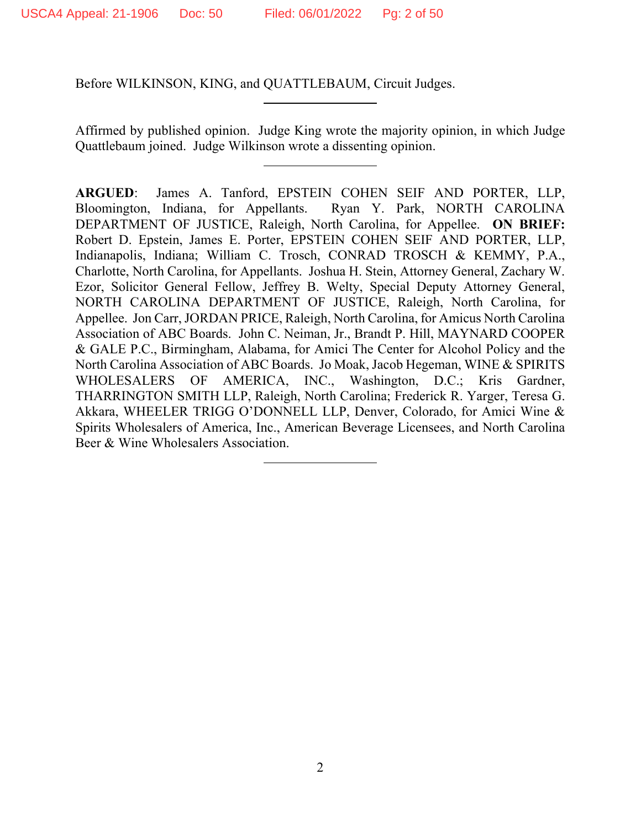Before WILKINSON, KING, and QUATTLEBAUM, Circuit Judges.

Affirmed by published opinion. Judge King wrote the majority opinion, in which Judge Quattlebaum joined. Judge Wilkinson wrote a dissenting opinion.

**ARGUED**: James A. Tanford, EPSTEIN COHEN SEIF AND PORTER, LLP, Bloomington, Indiana, for Appellants. Ryan Y. Park, NORTH CAROLINA DEPARTMENT OF JUSTICE, Raleigh, North Carolina, for Appellee. **ON BRIEF:**  Robert D. Epstein, James E. Porter, EPSTEIN COHEN SEIF AND PORTER, LLP, Indianapolis, Indiana; William C. Trosch, CONRAD TROSCH & KEMMY, P.A., Charlotte, North Carolina, for Appellants. Joshua H. Stein, Attorney General, Zachary W. Ezor, Solicitor General Fellow, Jeffrey B. Welty, Special Deputy Attorney General, NORTH CAROLINA DEPARTMENT OF JUSTICE, Raleigh, North Carolina, for Appellee. Jon Carr, JORDAN PRICE, Raleigh, North Carolina, for Amicus North Carolina Association of ABC Boards. John C. Neiman, Jr., Brandt P. Hill, MAYNARD COOPER & GALE P.C., Birmingham, Alabama, for Amici The Center for Alcohol Policy and the North Carolina Association of ABC Boards. Jo Moak, Jacob Hegeman, WINE & SPIRITS WHOLESALERS OF AMERICA, INC., Washington, D.C.; Kris Gardner, THARRINGTON SMITH LLP, Raleigh, North Carolina; Frederick R. Yarger, Teresa G. Akkara, WHEELER TRIGG O'DONNELL LLP, Denver, Colorado, for Amici Wine & Spirits Wholesalers of America, Inc., American Beverage Licensees, and North Carolina Beer & Wine Wholesalers Association.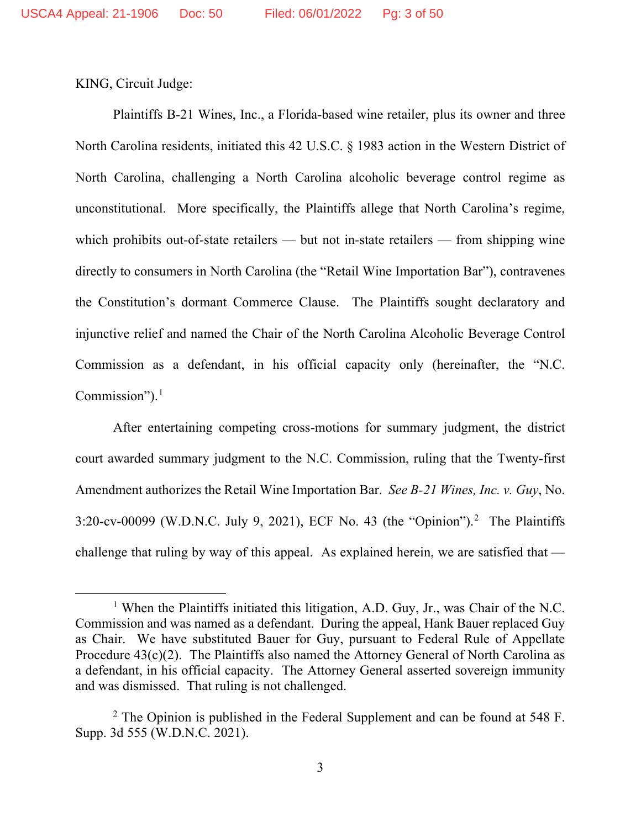KING, Circuit Judge:

Plaintiffs B-21 Wines, Inc., a Florida-based wine retailer, plus its owner and three North Carolina residents, initiated this 42 U.S.C. § 1983 action in the Western District of North Carolina, challenging a North Carolina alcoholic beverage control regime as unconstitutional. More specifically, the Plaintiffs allege that North Carolina's regime, which prohibits out-of-state retailers — but not in-state retailers — from shipping wine directly to consumers in North Carolina (the "Retail Wine Importation Bar"), contravenes the Constitution's dormant Commerce Clause. The Plaintiffs sought declaratory and injunctive relief and named the Chair of the North Carolina Alcoholic Beverage Control Commission as a defendant, in his official capacity only (hereinafter, the "N.C. Commission"). $<sup>1</sup>$  $<sup>1</sup>$  $<sup>1</sup>$ </sup>

After entertaining competing cross-motions for summary judgment, the district court awarded summary judgment to the N.C. Commission, ruling that the Twenty-first Amendment authorizes the Retail Wine Importation Bar. *See B-21 Wines, Inc. v. Guy*, No.  $3:20$  $3:20$  $3:20$ -cv-00099 (W.D.N.C. July 9, 2021), ECF No. 43 (the "Opinion").<sup>2</sup> The Plaintiffs challenge that ruling by way of this appeal. As explained herein, we are satisfied that —

<span id="page-2-0"></span><sup>&</sup>lt;sup>1</sup> When the Plaintiffs initiated this litigation, A.D. Guy, Jr., was Chair of the N.C. Commission and was named as a defendant. During the appeal, Hank Bauer replaced Guy as Chair. We have substituted Bauer for Guy, pursuant to Federal Rule of Appellate Procedure  $43(c)(2)$ . The Plaintiffs also named the Attorney General of North Carolina as a defendant, in his official capacity. The Attorney General asserted sovereign immunity and was dismissed. That ruling is not challenged.

<span id="page-2-1"></span><sup>&</sup>lt;sup>2</sup> The Opinion is published in the Federal Supplement and can be found at 548 F. Supp. 3d 555 (W.D.N.C. 2021).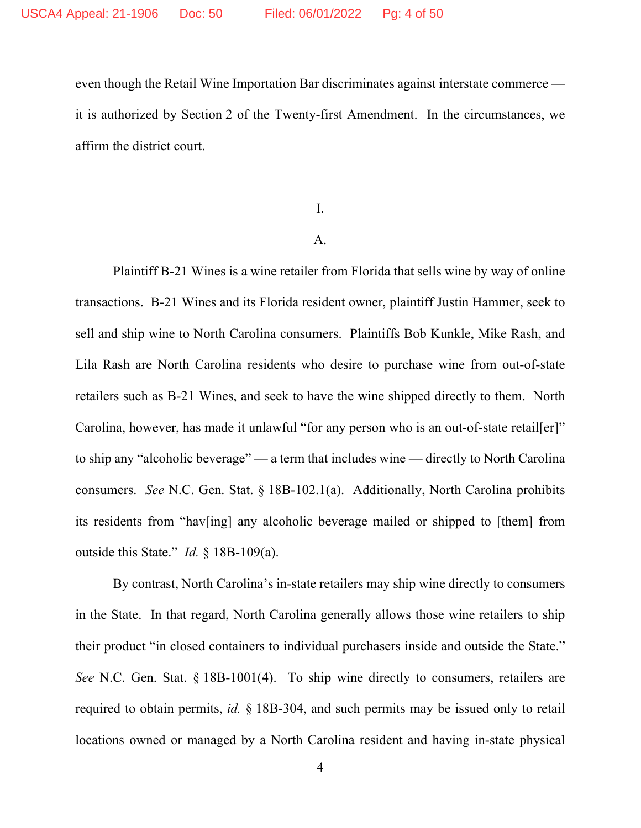even though the Retail Wine Importation Bar discriminates against interstate commerce it is authorized by Section 2 of the Twenty-first Amendment. In the circumstances, we affirm the district court.

I.

## A.

Plaintiff B-21 Wines is a wine retailer from Florida that sells wine by way of online transactions. B-21 Wines and its Florida resident owner, plaintiff Justin Hammer, seek to sell and ship wine to North Carolina consumers. Plaintiffs Bob Kunkle, Mike Rash, and Lila Rash are North Carolina residents who desire to purchase wine from out-of-state retailers such as B-21 Wines, and seek to have the wine shipped directly to them. North Carolina, however, has made it unlawful "for any person who is an out-of-state retail[er]" to ship any "alcoholic beverage" — a term that includes wine — directly to North Carolina consumers. *See* N.C. Gen. Stat. § 18B-102.1(a). Additionally, North Carolina prohibits its residents from "hav[ing] any alcoholic beverage mailed or shipped to [them] from outside this State." *Id.* § 18B-109(a).

By contrast, North Carolina's in-state retailers may ship wine directly to consumers in the State. In that regard, North Carolina generally allows those wine retailers to ship their product "in closed containers to individual purchasers inside and outside the State." *See* N.C. Gen. Stat. § 18B-1001(4). To ship wine directly to consumers, retailers are required to obtain permits, *id.* § 18B-304, and such permits may be issued only to retail locations owned or managed by a North Carolina resident and having in-state physical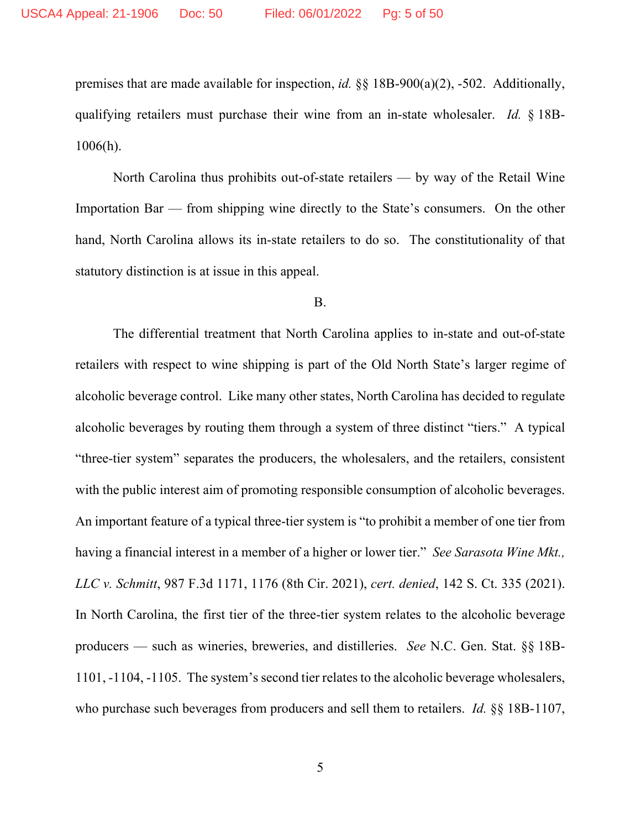premises that are made available for inspection, *id.* §§ 18B-900(a)(2), -502. Additionally, qualifying retailers must purchase their wine from an in-state wholesaler. *Id.* § 18B-1006(h).

North Carolina thus prohibits out-of-state retailers — by way of the Retail Wine Importation Bar — from shipping wine directly to the State's consumers. On the other hand, North Carolina allows its in-state retailers to do so. The constitutionality of that statutory distinction is at issue in this appeal.

## B.

The differential treatment that North Carolina applies to in-state and out-of-state retailers with respect to wine shipping is part of the Old North State's larger regime of alcoholic beverage control. Like many other states, North Carolina has decided to regulate alcoholic beverages by routing them through a system of three distinct "tiers." A typical "three-tier system" separates the producers, the wholesalers, and the retailers, consistent with the public interest aim of promoting responsible consumption of alcoholic beverages. An important feature of a typical three-tier system is "to prohibit a member of one tier from having a financial interest in a member of a higher or lower tier." *See Sarasota Wine Mkt., LLC v. Schmitt*, 987 F.3d 1171, 1176 (8th Cir. 2021), *cert. denied*, 142 S. Ct. 335 (2021). In North Carolina, the first tier of the three-tier system relates to the alcoholic beverage producers — such as wineries, breweries, and distilleries. *See* N.C. Gen. Stat. §§ 18B-1101, -1104, -1105. The system's second tier relates to the alcoholic beverage wholesalers, who purchase such beverages from producers and sell them to retailers. *Id.* §§ 18B-1107,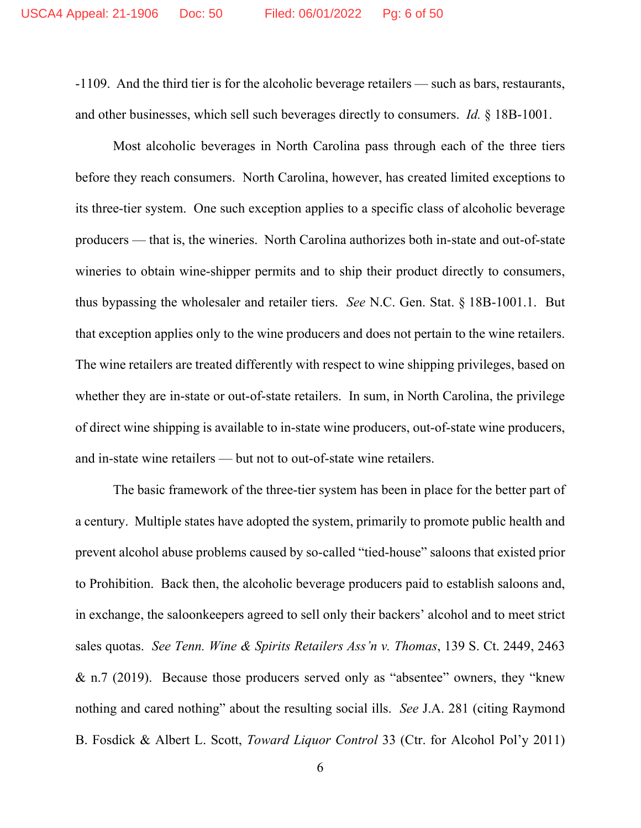-1109. And the third tier is for the alcoholic beverage retailers — such as bars, restaurants, and other businesses, which sell such beverages directly to consumers. *Id.* § 18B-1001.

Most alcoholic beverages in North Carolina pass through each of the three tiers before they reach consumers. North Carolina, however, has created limited exceptions to its three-tier system. One such exception applies to a specific class of alcoholic beverage producers — that is, the wineries. North Carolina authorizes both in-state and out-of-state wineries to obtain wine-shipper permits and to ship their product directly to consumers, thus bypassing the wholesaler and retailer tiers. *See* N.C. Gen. Stat. § 18B-1001.1. But that exception applies only to the wine producers and does not pertain to the wine retailers. The wine retailers are treated differently with respect to wine shipping privileges, based on whether they are in-state or out-of-state retailers. In sum, in North Carolina, the privilege of direct wine shipping is available to in-state wine producers, out-of-state wine producers, and in-state wine retailers — but not to out-of-state wine retailers.

The basic framework of the three-tier system has been in place for the better part of a century. Multiple states have adopted the system, primarily to promote public health and prevent alcohol abuse problems caused by so-called "tied-house" saloons that existed prior to Prohibition. Back then, the alcoholic beverage producers paid to establish saloons and, in exchange, the saloonkeepers agreed to sell only their backers' alcohol and to meet strict sales quotas. *See Tenn. Wine & Spirits Retailers Ass'n v. Thomas*, 139 S. Ct. 2449, 2463 & n.7 (2019). Because those producers served only as "absentee" owners, they "knew nothing and cared nothing" about the resulting social ills. *See* J.A. 281 (citing Raymond B. Fosdick & Albert L. Scott, *Toward Liquor Control* 33 (Ctr. for Alcohol Pol'y 2011)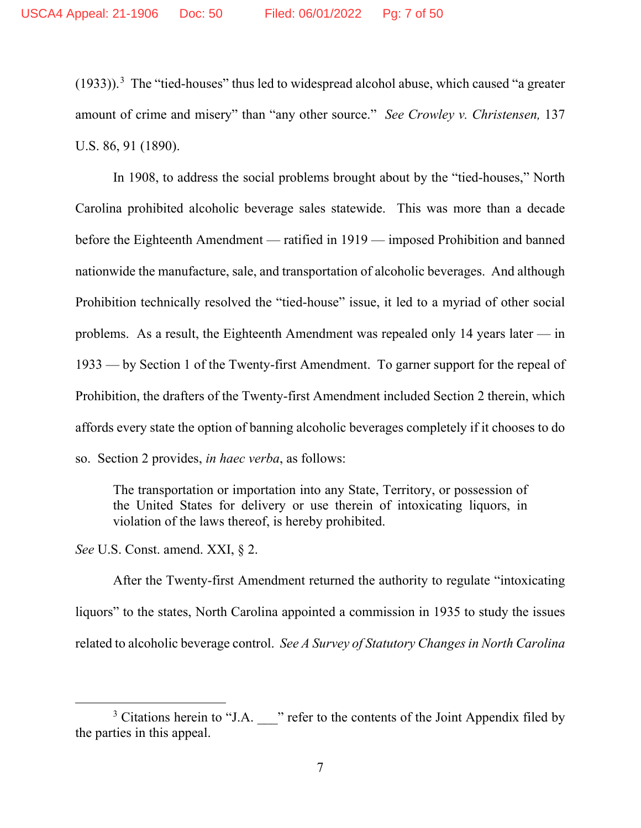$(1933)$  $(1933)$  $(1933)$ ).<sup>3</sup> The "tied-houses" thus led to widespread alcohol abuse, which caused "a greater amount of crime and misery" than "any other source." *See Crowley v. Christensen,* 137 U.S. 86, 91 (1890).

In 1908, to address the social problems brought about by the "tied-houses," North Carolina prohibited alcoholic beverage sales statewide. This was more than a decade before the Eighteenth Amendment — ratified in 1919 — imposed Prohibition and banned nationwide the manufacture, sale, and transportation of alcoholic beverages. And although Prohibition technically resolved the "tied-house" issue, it led to a myriad of other social problems. As a result, the Eighteenth Amendment was repealed only 14 years later — in 1933 — by Section 1 of the Twenty-first Amendment. To garner support for the repeal of Prohibition, the drafters of the Twenty-first Amendment included Section 2 therein, which affords every state the option of banning alcoholic beverages completely if it chooses to do so. Section 2 provides, *in haec verba*, as follows:

The transportation or importation into any State, Territory, or possession of the United States for delivery or use therein of intoxicating liquors, in violation of the laws thereof, is hereby prohibited.

*See* U.S. Const. amend. XXI, § 2.

After the Twenty-first Amendment returned the authority to regulate "intoxicating liquors" to the states, North Carolina appointed a commission in 1935 to study the issues related to alcoholic beverage control. *See A Survey of Statutory Changes in North Carolina* 

<span id="page-6-0"></span> $3$  Citations herein to "J.A.  $\blacksquare$ " refer to the contents of the Joint Appendix filed by the parties in this appeal.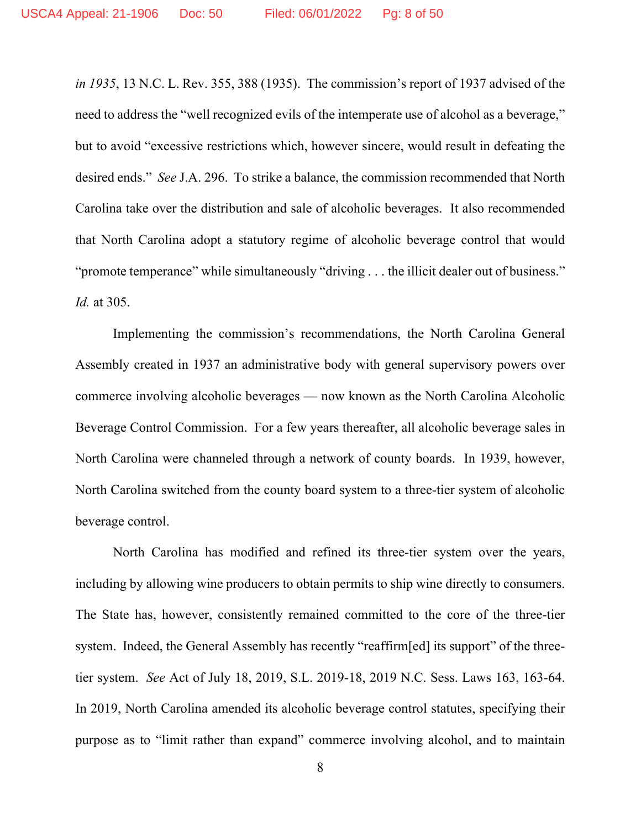*in 1935*, 13 N.C. L. Rev. 355, 388 (1935). The commission's report of 1937 advised of the need to address the "well recognized evils of the intemperate use of alcohol as a beverage," but to avoid "excessive restrictions which, however sincere, would result in defeating the desired ends." *See* J.A. 296. To strike a balance, the commission recommended that North Carolina take over the distribution and sale of alcoholic beverages. It also recommended that North Carolina adopt a statutory regime of alcoholic beverage control that would "promote temperance" while simultaneously "driving . . . the illicit dealer out of business." *Id.* at 305.

Implementing the commission's recommendations, the North Carolina General Assembly created in 1937 an administrative body with general supervisory powers over commerce involving alcoholic beverages — now known as the North Carolina Alcoholic Beverage Control Commission. For a few years thereafter, all alcoholic beverage sales in North Carolina were channeled through a network of county boards. In 1939, however, North Carolina switched from the county board system to a three-tier system of alcoholic beverage control.

North Carolina has modified and refined its three-tier system over the years, including by allowing wine producers to obtain permits to ship wine directly to consumers. The State has, however, consistently remained committed to the core of the three-tier system. Indeed, the General Assembly has recently "reaffirm[ed] its support" of the threetier system. *See* Act of July 18, 2019, S.L. 2019-18, 2019 N.C. Sess. Laws 163, 163-64. In 2019, North Carolina amended its alcoholic beverage control statutes, specifying their purpose as to "limit rather than expand" commerce involving alcohol, and to maintain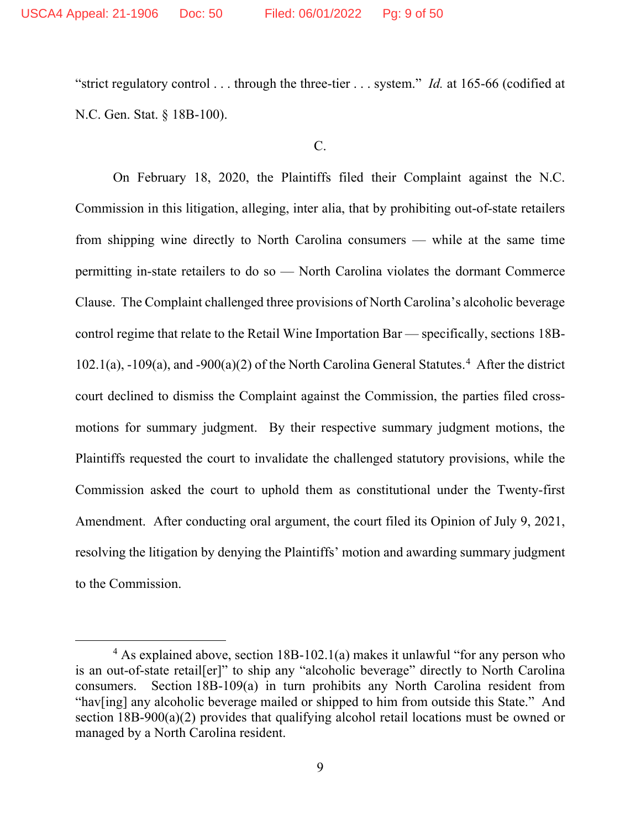"strict regulatory control . . . through the three-tier . . . system." *Id.* at 165-66 (codified at N.C. Gen. Stat. § 18B-100).

## $C<sub>c</sub>$

On February 18, 2020, the Plaintiffs filed their Complaint against the N.C. Commission in this litigation, alleging, inter alia, that by prohibiting out-of-state retailers from shipping wine directly to North Carolina consumers — while at the same time permitting in-state retailers to do so — North Carolina violates the dormant Commerce Clause. The Complaint challenged three provisions of North Carolina's alcoholic beverage control regime that relate to the Retail Wine Importation Bar — specifically, sections 18B- $102.1(a)$ ,  $-109(a)$ , and  $-900(a)(2)$  of the North Carolina General Statutes.<sup>[4](#page-8-0)</sup> After the district court declined to dismiss the Complaint against the Commission, the parties filed crossmotions for summary judgment. By their respective summary judgment motions, the Plaintiffs requested the court to invalidate the challenged statutory provisions, while the Commission asked the court to uphold them as constitutional under the Twenty-first Amendment. After conducting oral argument, the court filed its Opinion of July 9, 2021, resolving the litigation by denying the Plaintiffs' motion and awarding summary judgment to the Commission.

<span id="page-8-0"></span><sup>4</sup> As explained above, section 18B-102.1(a) makes it unlawful "for any person who is an out-of-state retail[er]" to ship any "alcoholic beverage" directly to North Carolina consumers. Section 18B-109(a) in turn prohibits any North Carolina resident from "hav[ing] any alcoholic beverage mailed or shipped to him from outside this State." And section 18B-900(a)(2) provides that qualifying alcohol retail locations must be owned or managed by a North Carolina resident.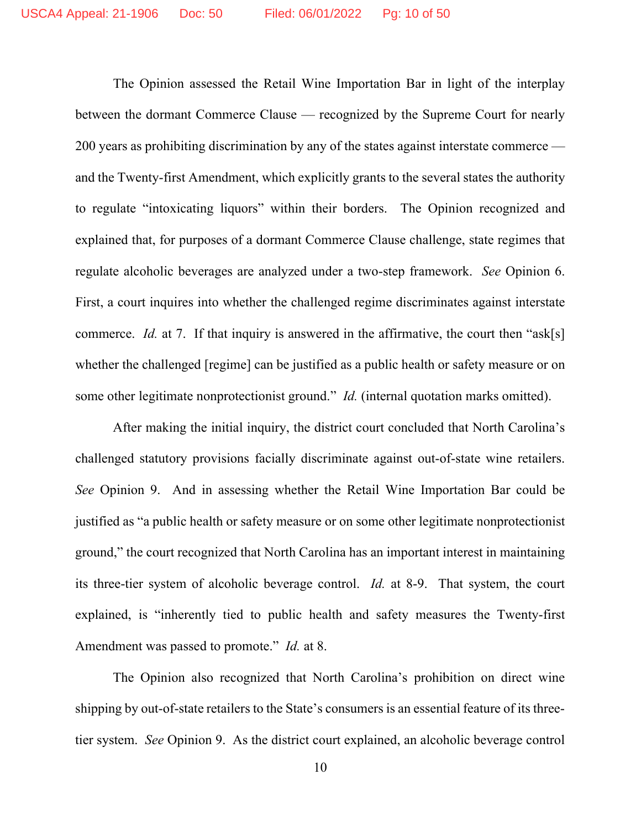The Opinion assessed the Retail Wine Importation Bar in light of the interplay between the dormant Commerce Clause — recognized by the Supreme Court for nearly 200 years as prohibiting discrimination by any of the states against interstate commerce and the Twenty-first Amendment, which explicitly grants to the several states the authority to regulate "intoxicating liquors" within their borders. The Opinion recognized and explained that, for purposes of a dormant Commerce Clause challenge, state regimes that regulate alcoholic beverages are analyzed under a two-step framework. *See* Opinion 6. First, a court inquires into whether the challenged regime discriminates against interstate commerce. *Id.* at 7. If that inquiry is answered in the affirmative, the court then "ask[s] whether the challenged [regime] can be justified as a public health or safety measure or on some other legitimate nonprotectionist ground." *Id.* (internal quotation marks omitted).

After making the initial inquiry, the district court concluded that North Carolina's challenged statutory provisions facially discriminate against out-of-state wine retailers. *See* Opinion 9. And in assessing whether the Retail Wine Importation Bar could be justified as "a public health or safety measure or on some other legitimate nonprotectionist ground," the court recognized that North Carolina has an important interest in maintaining its three-tier system of alcoholic beverage control. *Id.* at 8-9. That system, the court explained, is "inherently tied to public health and safety measures the Twenty-first Amendment was passed to promote." *Id.* at 8.

The Opinion also recognized that North Carolina's prohibition on direct wine shipping by out-of-state retailers to the State's consumers is an essential feature of its threetier system. *See* Opinion 9. As the district court explained, an alcoholic beverage control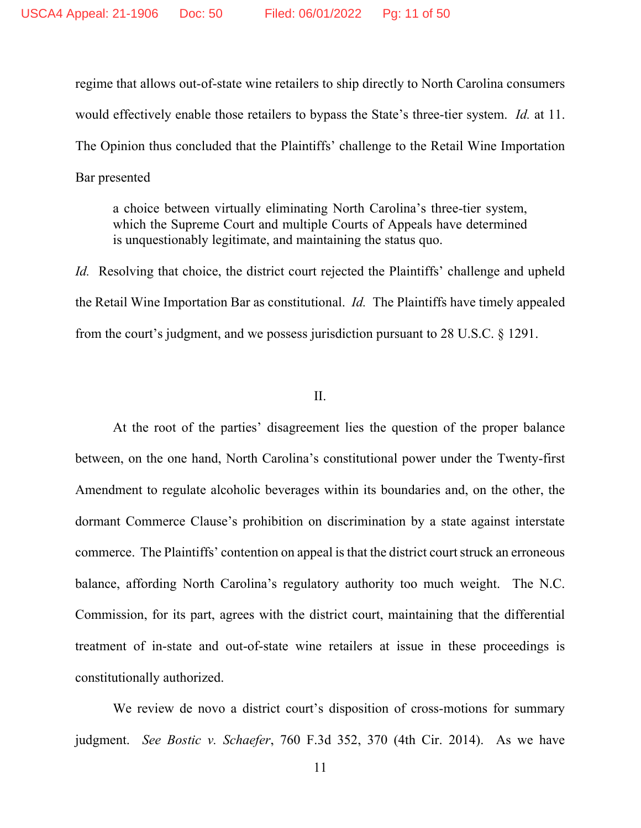regime that allows out-of-state wine retailers to ship directly to North Carolina consumers would effectively enable those retailers to bypass the State's three-tier system. *Id.* at 11. The Opinion thus concluded that the Plaintiffs' challenge to the Retail Wine Importation Bar presented

a choice between virtually eliminating North Carolina's three-tier system, which the Supreme Court and multiple Courts of Appeals have determined is unquestionably legitimate, and maintaining the status quo.

*Id.* Resolving that choice, the district court rejected the Plaintiffs' challenge and upheld the Retail Wine Importation Bar as constitutional. *Id.* The Plaintiffs have timely appealed from the court's judgment, and we possess jurisdiction pursuant to 28 U.S.C. § 1291.

#### II.

At the root of the parties' disagreement lies the question of the proper balance between, on the one hand, North Carolina's constitutional power under the Twenty-first Amendment to regulate alcoholic beverages within its boundaries and, on the other, the dormant Commerce Clause's prohibition on discrimination by a state against interstate commerce. The Plaintiffs' contention on appeal is that the district court struck an erroneous balance, affording North Carolina's regulatory authority too much weight. The N.C. Commission, for its part, agrees with the district court, maintaining that the differential treatment of in-state and out-of-state wine retailers at issue in these proceedings is constitutionally authorized.

We review de novo a district court's disposition of cross-motions for summary judgment. *See Bostic v. Schaefer*, 760 F.3d 352, 370 (4th Cir. 2014). As we have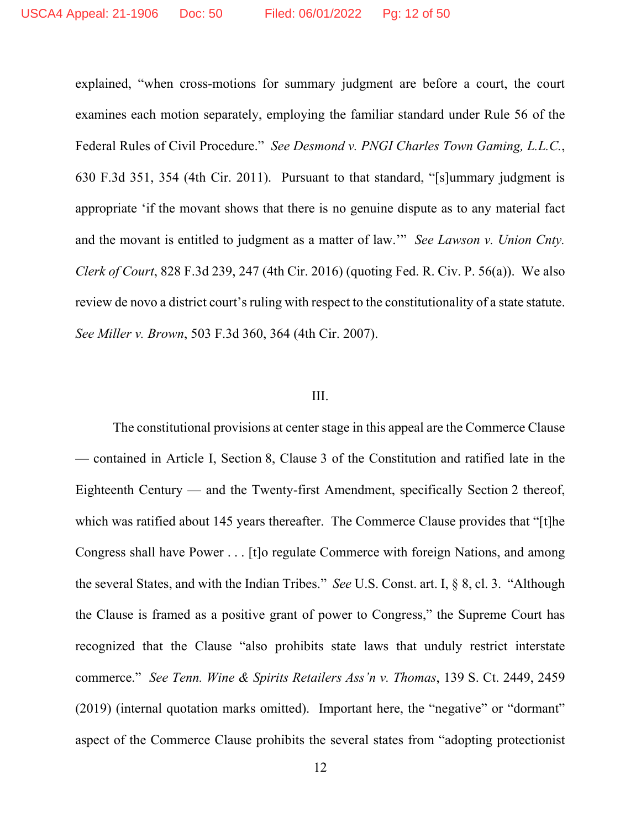explained, "when cross-motions for summary judgment are before a court, the court examines each motion separately, employing the familiar standard under Rule 56 of the Federal Rules of Civil Procedure." *See Desmond v. PNGI Charles Town Gaming, L.L.C.*, 630 F.3d 351, 354 (4th Cir. 2011). Pursuant to that standard, "[s]ummary judgment is appropriate 'if the movant shows that there is no genuine dispute as to any material fact and the movant is entitled to judgment as a matter of law.'" *See Lawson v. Union Cnty. Clerk of Court*, 828 F.3d 239, 247 (4th Cir. 2016) (quoting Fed. R. Civ. P. 56(a)). We also review de novo a district court's ruling with respect to the constitutionality of a state statute. *See Miller v. Brown*, 503 F.3d 360, 364 (4th Cir. 2007).

## III.

The constitutional provisions at center stage in this appeal are the Commerce Clause — contained in Article I, Section 8, Clause 3 of the Constitution and ratified late in the Eighteenth Century — and the Twenty-first Amendment, specifically Section 2 thereof, which was ratified about 145 years thereafter. The Commerce Clause provides that "[t]he Congress shall have Power . . . [t]o regulate Commerce with foreign Nations, and among the several States, and with the Indian Tribes." *See* U.S. Const. art. I, § 8, cl. 3. "Although the Clause is framed as a positive grant of power to Congress," the Supreme Court has recognized that the Clause "also prohibits state laws that unduly restrict interstate commerce." *See Tenn. Wine & Spirits Retailers Ass'n v. Thomas*, 139 S. Ct. 2449, 2459 (2019) (internal quotation marks omitted). Important here, the "negative" or "dormant" aspect of the Commerce Clause prohibits the several states from "adopting protectionist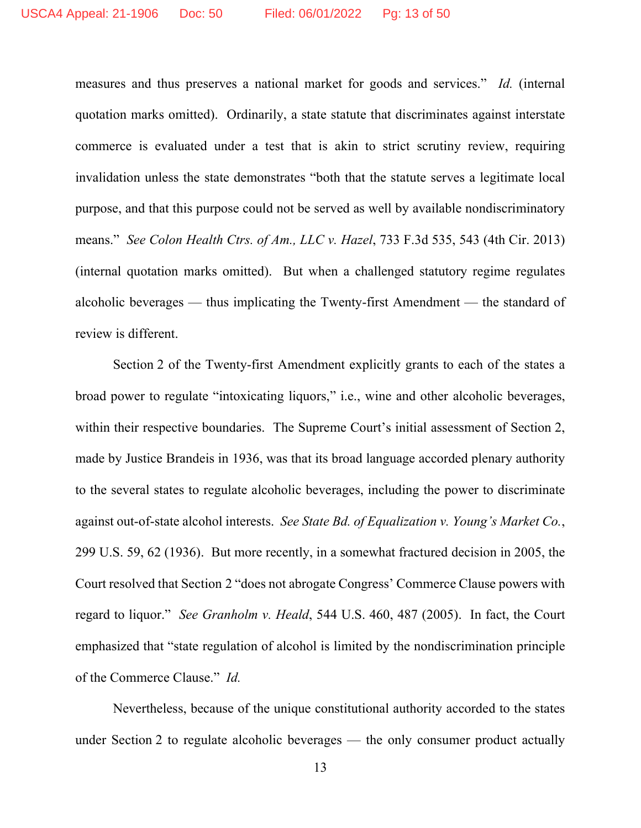measures and thus preserves a national market for goods and services." *Id.* (internal quotation marks omitted).Ordinarily, a state statute that discriminates against interstate commerce is evaluated under a test that is akin to strict scrutiny review, requiring invalidation unless the state demonstrates "both that the statute serves a legitimate local purpose, and that this purpose could not be served as well by available nondiscriminatory means." *See Colon Health Ctrs. of Am., LLC v. Hazel*, 733 F.3d 535, 543 (4th Cir. 2013) (internal quotation marks omitted). But when a challenged statutory regime regulates alcoholic beverages — thus implicating the Twenty-first Amendment — the standard of review is different.

Section 2 of the Twenty-first Amendment explicitly grants to each of the states a broad power to regulate "intoxicating liquors," i.e., wine and other alcoholic beverages, within their respective boundaries. The Supreme Court's initial assessment of Section 2, made by Justice Brandeis in 1936, was that its broad language accorded plenary authority to the several states to regulate alcoholic beverages, including the power to discriminate against out-of-state alcohol interests. *See State Bd. of Equalization v. Young's Market Co.*, 299 U.S. 59, 62 (1936). But more recently, in a somewhat fractured decision in 2005, the Court resolved that Section 2 "does not abrogate Congress' Commerce Clause powers with regard to liquor." *See Granholm v. Heald*, 544 U.S. 460, 487 (2005). In fact, the Court emphasized that "state regulation of alcohol is limited by the nondiscrimination principle of the Commerce Clause." *Id.*

Nevertheless, because of the unique constitutional authority accorded to the states under Section 2 to regulate alcoholic beverages — the only consumer product actually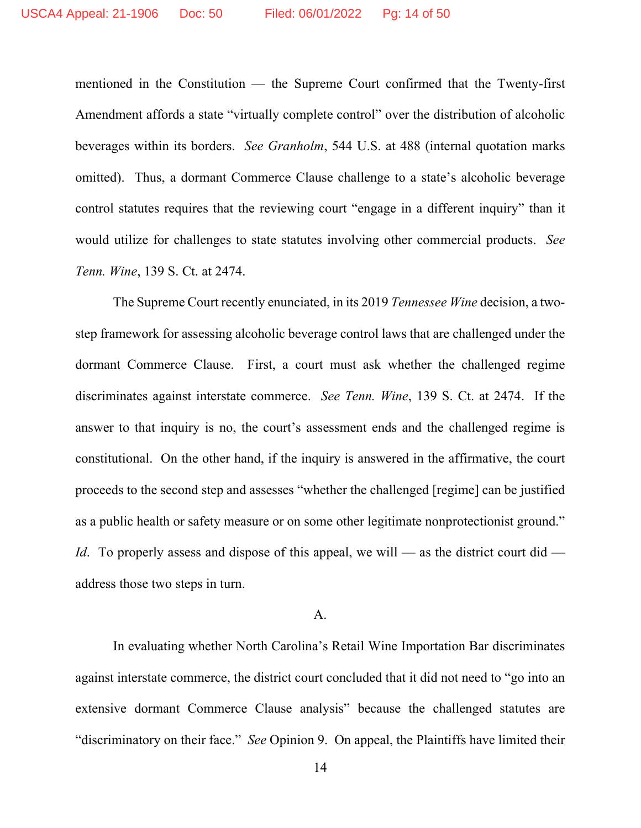mentioned in the Constitution — the Supreme Court confirmed that the Twenty-first Amendment affords a state "virtually complete control" over the distribution of alcoholic beverages within its borders. *See Granholm*, 544 U.S. at 488 (internal quotation marks omitted). Thus, a dormant Commerce Clause challenge to a state's alcoholic beverage control statutes requires that the reviewing court "engage in a different inquiry" than it would utilize for challenges to state statutes involving other commercial products. *See Tenn. Wine*, 139 S. Ct. at 2474.

The Supreme Court recently enunciated, in its 2019 *Tennessee Wine* decision, a twostep framework for assessing alcoholic beverage control laws that are challenged under the dormant Commerce Clause. First, a court must ask whether the challenged regime discriminates against interstate commerce. *See Tenn. Wine*, 139 S. Ct. at 2474. If the answer to that inquiry is no, the court's assessment ends and the challenged regime is constitutional. On the other hand, if the inquiry is answered in the affirmative, the court proceeds to the second step and assesses "whether the challenged [regime] can be justified as a public health or safety measure or on some other legitimate nonprotectionist ground." *Id*. To properly assess and dispose of this appeal, we will — as the district court did address those two steps in turn.

# A.

In evaluating whether North Carolina's Retail Wine Importation Bar discriminates against interstate commerce, the district court concluded that it did not need to "go into an extensive dormant Commerce Clause analysis" because the challenged statutes are "discriminatory on their face." *See* Opinion 9. On appeal, the Plaintiffs have limited their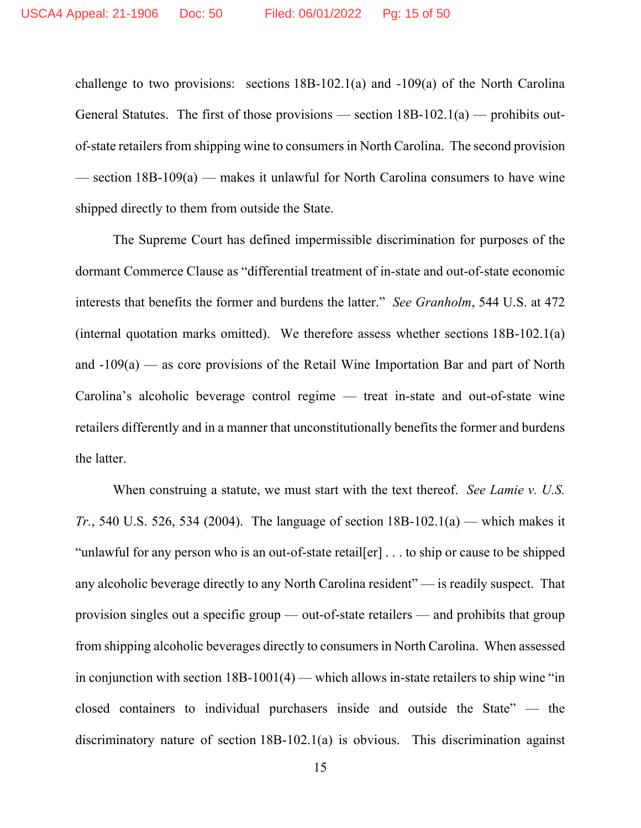challenge to two provisions: sections 18B-102.1(a) and -109(a) of the North Carolina General Statutes. The first of those provisions — section  $18B-102.1(a)$  — prohibits outof-state retailers from shipping wine to consumers in North Carolina. The second provision  $-$  section 18B-109(a)  $-$  makes it unlawful for North Carolina consumers to have wine shipped directly to them from outside the State.

The Supreme Court has defined impermissible discrimination for purposes of the dormant Commerce Clause as "differential treatment of in-state and out-of-state economic interests that benefits the former and burdens the latter." *See Granholm*, 544 U.S. at 472 (internal quotation marks omitted). We therefore assess whether sections 18B-102.1(a) and  $-109(a)$  — as core provisions of the Retail Wine Importation Bar and part of North Carolina's alcoholic beverage control regime — treat in-state and out-of-state wine retailers differently and in a manner that unconstitutionally benefits the former and burdens the latter.

When construing a statute, we must start with the text thereof. *See Lamie v. U.S. Tr.*, 540 U.S. 526, 534 (2004). The language of section  $18B-102.1(a)$  — which makes it "unlawful for any person who is an out-of-state retail[er] . . . to ship or cause to be shipped any alcoholic beverage directly to any North Carolina resident" — is readily suspect. That provision singles out a specific group — out-of-state retailers — and prohibits that group from shipping alcoholic beverages directly to consumers in North Carolina. When assessed in conjunction with section  $18B-1001(4)$  — which allows in-state retailers to ship wine "in closed containers to individual purchasers inside and outside the State" — the discriminatory nature of section 18B-102.1(a) is obvious. This discrimination against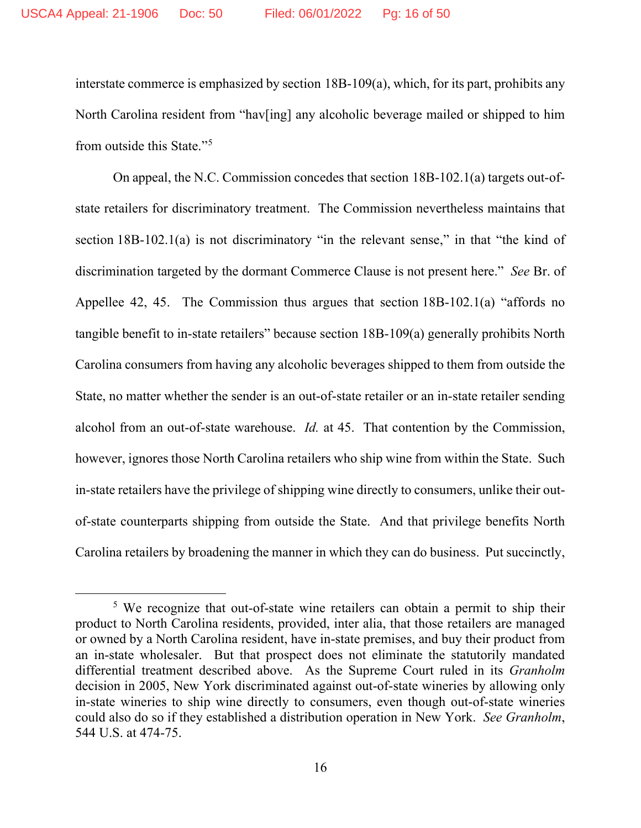interstate commerce is emphasized by section 18B-109(a), which, for its part, prohibits any North Carolina resident from "hav[ing] any alcoholic beverage mailed or shipped to him from outside this State."[5](#page-15-0)

On appeal, the N.C. Commission concedes that section 18B-102.1(a) targets out-ofstate retailers for discriminatory treatment. The Commission nevertheless maintains that section 18B-102.1(a) is not discriminatory "in the relevant sense," in that "the kind of discrimination targeted by the dormant Commerce Clause is not present here." *See* Br. of Appellee 42, 45. The Commission thus argues that section 18B-102.1(a) "affords no tangible benefit to in-state retailers" because section 18B-109(a) generally prohibits North Carolina consumers from having any alcoholic beverages shipped to them from outside the State, no matter whether the sender is an out-of-state retailer or an in-state retailer sending alcohol from an out-of-state warehouse. *Id.* at 45. That contention by the Commission, however, ignores those North Carolina retailers who ship wine from within the State. Such in-state retailers have the privilege of shipping wine directly to consumers, unlike their outof-state counterparts shipping from outside the State. And that privilege benefits North Carolina retailers by broadening the manner in which they can do business. Put succinctly,

<span id="page-15-0"></span><sup>&</sup>lt;sup>5</sup> We recognize that out-of-state wine retailers can obtain a permit to ship their product to North Carolina residents, provided, inter alia, that those retailers are managed or owned by a North Carolina resident, have in-state premises, and buy their product from an in-state wholesaler. But that prospect does not eliminate the statutorily mandated differential treatment described above. As the Supreme Court ruled in its *Granholm* decision in 2005, New York discriminated against out-of-state wineries by allowing only in-state wineries to ship wine directly to consumers, even though out-of-state wineries could also do so if they established a distribution operation in New York. *See Granholm*, 544 U.S. at 474-75.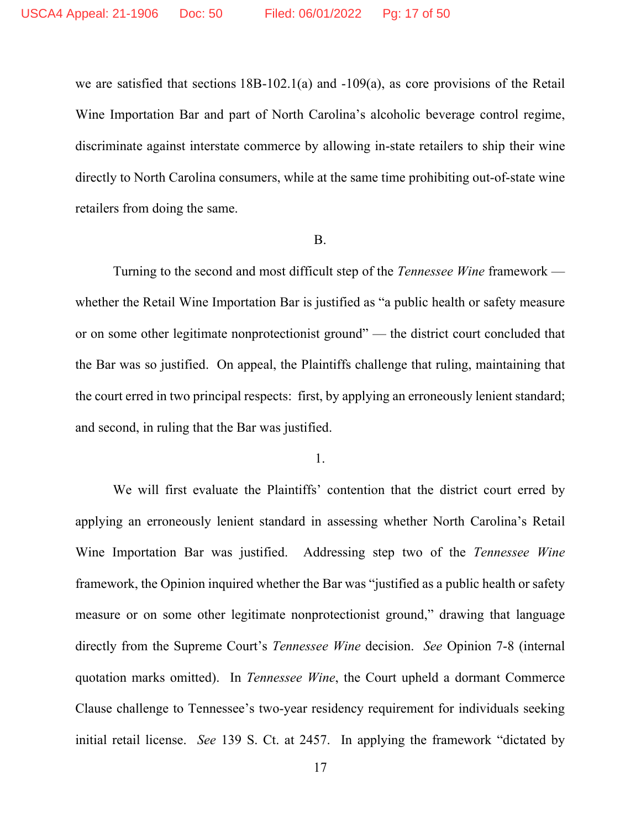we are satisfied that sections 18B-102.1(a) and -109(a), as core provisions of the Retail Wine Importation Bar and part of North Carolina's alcoholic beverage control regime, discriminate against interstate commerce by allowing in-state retailers to ship their wine directly to North Carolina consumers, while at the same time prohibiting out-of-state wine retailers from doing the same.

#### B.

Turning to the second and most difficult step of the *Tennessee Wine* framework whether the Retail Wine Importation Bar is justified as "a public health or safety measure or on some other legitimate nonprotectionist ground" — the district court concluded that the Bar was so justified. On appeal, the Plaintiffs challenge that ruling, maintaining that the court erred in two principal respects: first, by applying an erroneously lenient standard; and second, in ruling that the Bar was justified.

## 1.

We will first evaluate the Plaintiffs' contention that the district court erred by applying an erroneously lenient standard in assessing whether North Carolina's Retail Wine Importation Bar was justified. Addressing step two of the *Tennessee Wine* framework, the Opinion inquired whether the Bar was "justified as a public health or safety measure or on some other legitimate nonprotectionist ground," drawing that language directly from the Supreme Court's *Tennessee Wine* decision. *See* Opinion 7-8 (internal quotation marks omitted). In *Tennessee Wine*, the Court upheld a dormant Commerce Clause challenge to Tennessee's two-year residency requirement for individuals seeking initial retail license. *See* 139 S. Ct. at 2457. In applying the framework "dictated by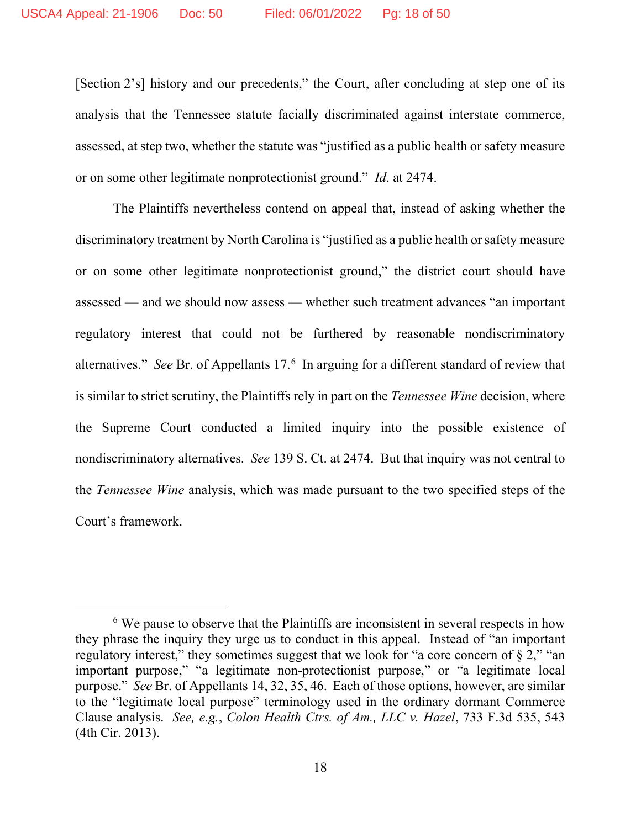[Section 2's] history and our precedents," the Court, after concluding at step one of its analysis that the Tennessee statute facially discriminated against interstate commerce, assessed, at step two, whether the statute was "justified as a public health or safety measure or on some other legitimate nonprotectionist ground." *Id*. at 2474.

The Plaintiffs nevertheless contend on appeal that, instead of asking whether the discriminatory treatment by North Carolina is "justified as a public health or safety measure or on some other legitimate nonprotectionist ground," the district court should have assessed — and we should now assess — whether such treatment advances "an important regulatory interest that could not be furthered by reasonable nondiscriminatory alternatives." See Br. of Appellants 17.<sup>[6](#page-17-0)</sup> In arguing for a different standard of review that is similar to strict scrutiny, the Plaintiffs rely in part on the *Tennessee Wine* decision, where the Supreme Court conducted a limited inquiry into the possible existence of nondiscriminatory alternatives. *See* 139 S. Ct. at 2474. But that inquiry was not central to the *Tennessee Wine* analysis, which was made pursuant to the two specified steps of the Court's framework.

<span id="page-17-0"></span> $6$  We pause to observe that the Plaintiffs are inconsistent in several respects in how they phrase the inquiry they urge us to conduct in this appeal. Instead of "an important regulatory interest," they sometimes suggest that we look for "a core concern of § 2," "an important purpose," "a legitimate non-protectionist purpose," or "a legitimate local purpose." *See* Br. of Appellants 14, 32, 35, 46. Each of those options, however, are similar to the "legitimate local purpose" terminology used in the ordinary dormant Commerce Clause analysis. *See, e.g.*, *Colon Health Ctrs. of Am., LLC v. Hazel*, 733 F.3d 535, 543 (4th Cir. 2013).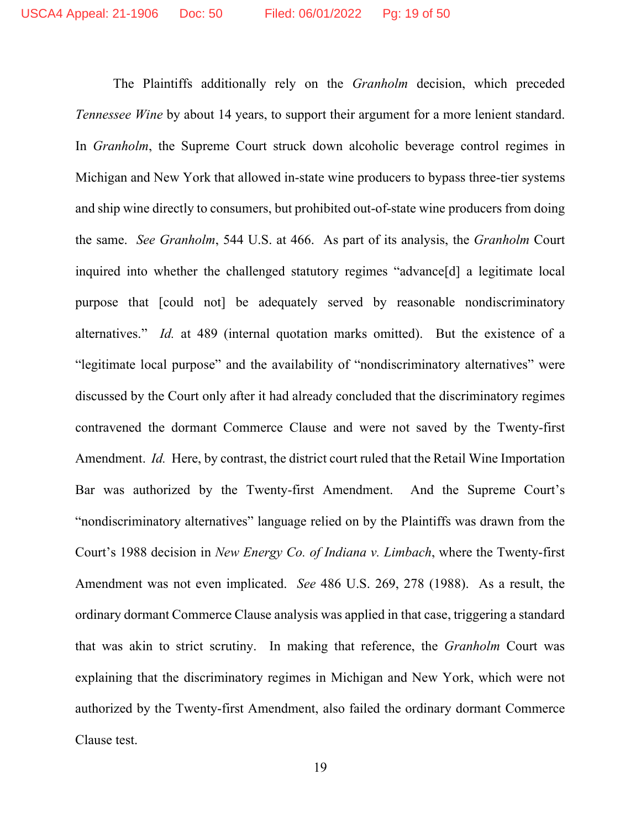The Plaintiffs additionally rely on the *Granholm* decision, which preceded *Tennessee Wine* by about 14 years, to support their argument for a more lenient standard. In *Granholm*, the Supreme Court struck down alcoholic beverage control regimes in Michigan and New York that allowed in-state wine producers to bypass three-tier systems and ship wine directly to consumers, but prohibited out-of-state wine producers from doing the same. *See Granholm*, 544 U.S. at 466. As part of its analysis, the *Granholm* Court inquired into whether the challenged statutory regimes "advance[d] a legitimate local purpose that [could not] be adequately served by reasonable nondiscriminatory alternatives." *Id.* at 489 (internal quotation marks omitted). But the existence of a "legitimate local purpose" and the availability of "nondiscriminatory alternatives" were discussed by the Court only after it had already concluded that the discriminatory regimes contravened the dormant Commerce Clause and were not saved by the Twenty-first Amendment. *Id.* Here, by contrast, the district court ruled that the Retail Wine Importation Bar was authorized by the Twenty-first Amendment. And the Supreme Court's "nondiscriminatory alternatives" language relied on by the Plaintiffs was drawn from the Court's 1988 decision in *New Energy Co. of Indiana v. Limbach*, where the Twenty-first Amendment was not even implicated. *See* 486 U.S. 269, 278 (1988). As a result, the ordinary dormant Commerce Clause analysis was applied in that case, triggering a standard that was akin to strict scrutiny. In making that reference, the *Granholm* Court was explaining that the discriminatory regimes in Michigan and New York, which were not authorized by the Twenty-first Amendment, also failed the ordinary dormant Commerce Clause test.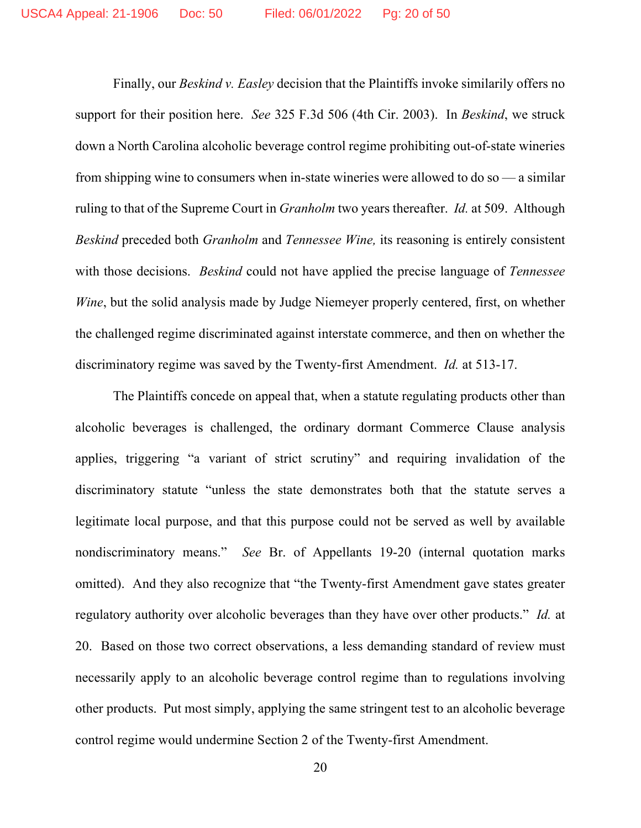Finally, our *Beskind v. Easley* decision that the Plaintiffs invoke similarily offers no support for their position here. *See* 325 F.3d 506 (4th Cir. 2003). In *Beskind*, we struck down a North Carolina alcoholic beverage control regime prohibiting out-of-state wineries from shipping wine to consumers when in-state wineries were allowed to do so — a similar ruling to that of the Supreme Court in *Granholm* two years thereafter. *Id.* at 509. Although *Beskind* preceded both *Granholm* and *Tennessee Wine,* its reasoning is entirely consistent with those decisions. *Beskind* could not have applied the precise language of *Tennessee Wine*, but the solid analysis made by Judge Niemeyer properly centered, first, on whether the challenged regime discriminated against interstate commerce, and then on whether the discriminatory regime was saved by the Twenty-first Amendment. *Id.* at 513-17.

The Plaintiffs concede on appeal that, when a statute regulating products other than alcoholic beverages is challenged, the ordinary dormant Commerce Clause analysis applies, triggering "a variant of strict scrutiny" and requiring invalidation of the discriminatory statute "unless the state demonstrates both that the statute serves a legitimate local purpose, and that this purpose could not be served as well by available nondiscriminatory means." *See* Br. of Appellants 19-20 (internal quotation marks omitted). And they also recognize that "the Twenty-first Amendment gave states greater regulatory authority over alcoholic beverages than they have over other products." *Id.* at 20. Based on those two correct observations, a less demanding standard of review must necessarily apply to an alcoholic beverage control regime than to regulations involving other products. Put most simply, applying the same stringent test to an alcoholic beverage control regime would undermine Section 2 of the Twenty-first Amendment.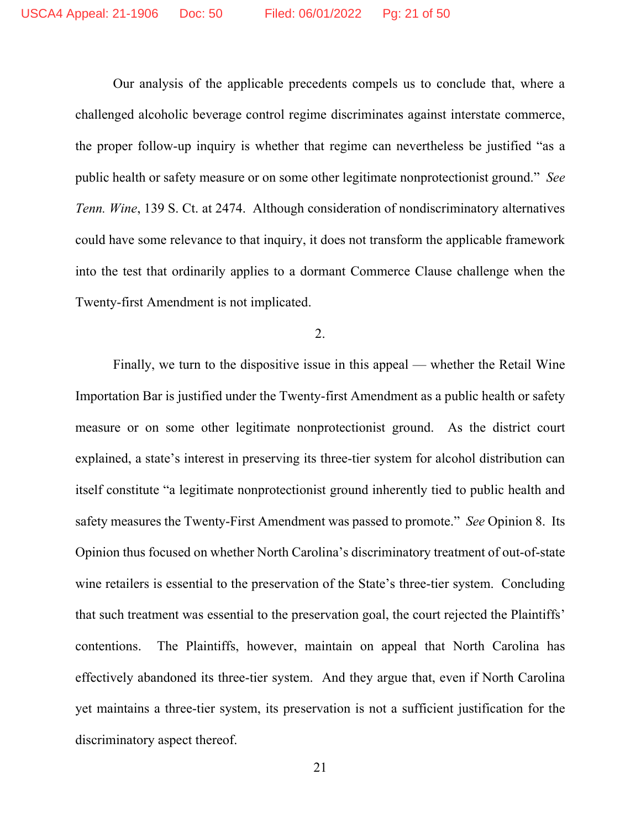Our analysis of the applicable precedents compels us to conclude that, where a challenged alcoholic beverage control regime discriminates against interstate commerce, the proper follow-up inquiry is whether that regime can nevertheless be justified "as a public health or safety measure or on some other legitimate nonprotectionist ground." *See Tenn. Wine*, 139 S. Ct. at 2474. Although consideration of nondiscriminatory alternatives could have some relevance to that inquiry, it does not transform the applicable framework into the test that ordinarily applies to a dormant Commerce Clause challenge when the Twenty-first Amendment is not implicated.

2.

Finally, we turn to the dispositive issue in this appeal — whether the Retail Wine Importation Bar is justified under the Twenty-first Amendment as a public health or safety measure or on some other legitimate nonprotectionist ground. As the district court explained, a state's interest in preserving its three-tier system for alcohol distribution can itself constitute "a legitimate nonprotectionist ground inherently tied to public health and safety measures the Twenty-First Amendment was passed to promote." *See* Opinion 8. Its Opinion thus focused on whether North Carolina's discriminatory treatment of out-of-state wine retailers is essential to the preservation of the State's three-tier system. Concluding that such treatment was essential to the preservation goal, the court rejected the Plaintiffs' contentions. The Plaintiffs, however, maintain on appeal that North Carolina has effectively abandoned its three-tier system. And they argue that, even if North Carolina yet maintains a three-tier system, its preservation is not a sufficient justification for the discriminatory aspect thereof.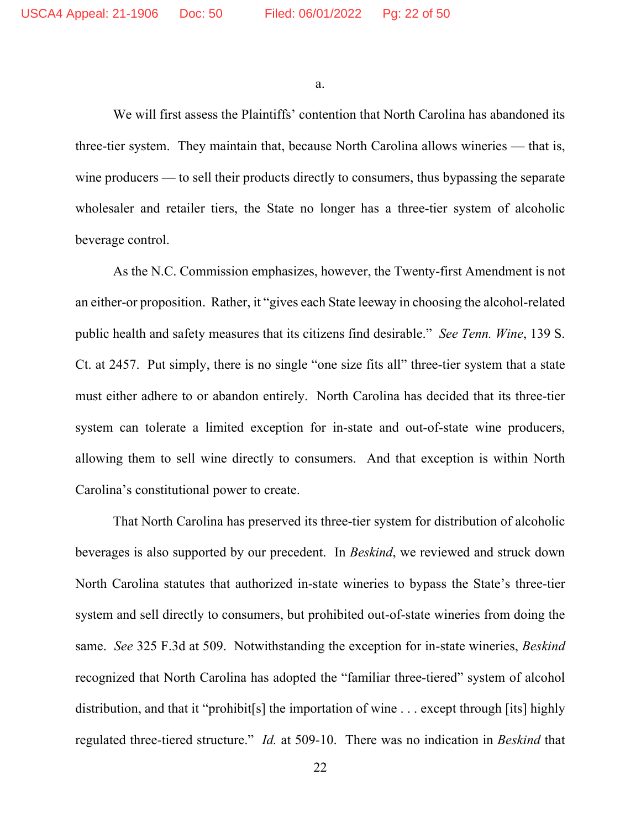a.

We will first assess the Plaintiffs' contention that North Carolina has abandoned its three-tier system. They maintain that, because North Carolina allows wineries — that is, wine producers — to sell their products directly to consumers, thus bypassing the separate wholesaler and retailer tiers, the State no longer has a three-tier system of alcoholic beverage control.

As the N.C. Commission emphasizes, however, the Twenty-first Amendment is not an either-or proposition. Rather, it "gives each State leeway in choosing the alcohol-related public health and safety measures that its citizens find desirable." *See Tenn. Wine*, 139 S. Ct. at 2457. Put simply, there is no single "one size fits all" three-tier system that a state must either adhere to or abandon entirely. North Carolina has decided that its three-tier system can tolerate a limited exception for in-state and out-of-state wine producers, allowing them to sell wine directly to consumers. And that exception is within North Carolina's constitutional power to create.

That North Carolina has preserved its three-tier system for distribution of alcoholic beverages is also supported by our precedent. In *Beskind*, we reviewed and struck down North Carolina statutes that authorized in-state wineries to bypass the State's three-tier system and sell directly to consumers, but prohibited out-of-state wineries from doing the same. *See* 325 F.3d at 509. Notwithstanding the exception for in-state wineries, *Beskind* recognized that North Carolina has adopted the "familiar three-tiered" system of alcohol distribution, and that it "prohibit[s] the importation of wine . . . except through [its] highly regulated three-tiered structure." *Id.* at 509-10. There was no indication in *Beskind* that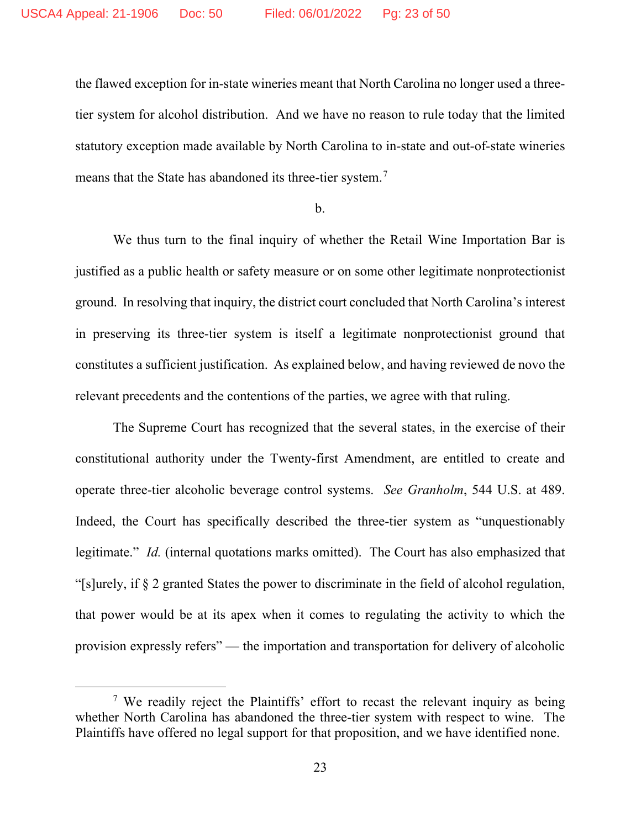the flawed exception for in-state wineries meant that North Carolina no longer used a threetier system for alcohol distribution. And we have no reason to rule today that the limited statutory exception made available by North Carolina to in-state and out-of-state wineries means that the State has abandoned its three-tier system.<sup>[7](#page-22-0)</sup>

#### b.

We thus turn to the final inquiry of whether the Retail Wine Importation Bar is justified as a public health or safety measure or on some other legitimate nonprotectionist ground. In resolving that inquiry, the district court concluded that North Carolina's interest in preserving its three-tier system is itself a legitimate nonprotectionist ground that constitutes a sufficient justification. As explained below, and having reviewed de novo the relevant precedents and the contentions of the parties, we agree with that ruling.

The Supreme Court has recognized that the several states, in the exercise of their constitutional authority under the Twenty-first Amendment, are entitled to create and operate three-tier alcoholic beverage control systems. *See Granholm*, 544 U.S. at 489. Indeed, the Court has specifically described the three-tier system as "unquestionably legitimate." *Id.* (internal quotations marks omitted). The Court has also emphasized that "[s]urely, if § 2 granted States the power to discriminate in the field of alcohol regulation, that power would be at its apex when it comes to regulating the activity to which the provision expressly refers" — the importation and transportation for delivery of alcoholic

<span id="page-22-0"></span><sup>&</sup>lt;sup>7</sup> We readily reject the Plaintiffs' effort to recast the relevant inquiry as being whether North Carolina has abandoned the three-tier system with respect to wine. The Plaintiffs have offered no legal support for that proposition, and we have identified none.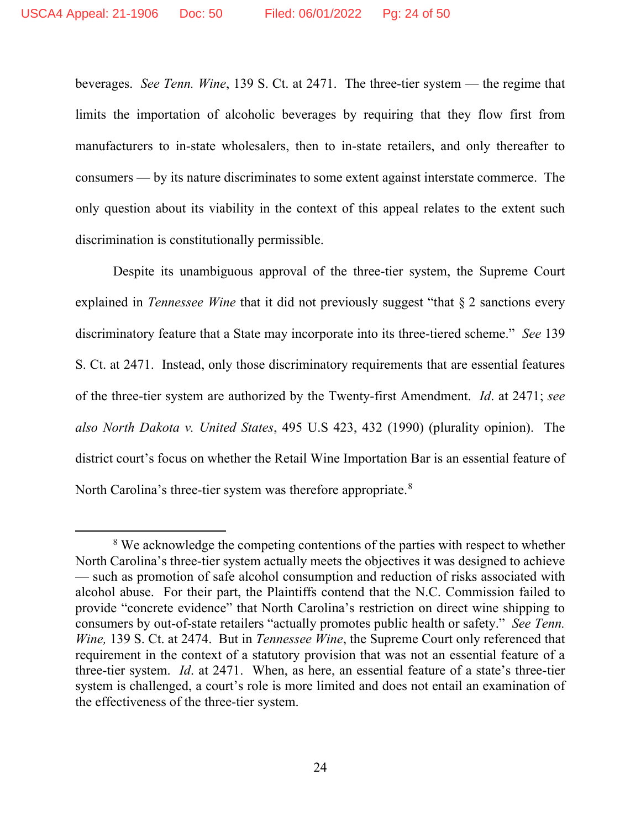beverages. *See Tenn. Wine*, 139 S. Ct. at 2471. The three-tier system — the regime that limits the importation of alcoholic beverages by requiring that they flow first from manufacturers to in-state wholesalers, then to in-state retailers, and only thereafter to consumers — by its nature discriminates to some extent against interstate commerce. The only question about its viability in the context of this appeal relates to the extent such discrimination is constitutionally permissible.

Despite its unambiguous approval of the three-tier system, the Supreme Court explained in *Tennessee Wine* that it did not previously suggest "that § 2 sanctions every discriminatory feature that a State may incorporate into its three-tiered scheme." *See* 139 S. Ct. at 2471. Instead, only those discriminatory requirements that are essential features of the three-tier system are authorized by the Twenty-first Amendment. *Id*. at 2471; *see also North Dakota v. United States*, 495 U.S 423, 432 (1990) (plurality opinion). The district court's focus on whether the Retail Wine Importation Bar is an essential feature of North Carolina's three-tier system was therefore appropriate. $8$ 

<span id="page-23-0"></span><sup>&</sup>lt;sup>8</sup> We acknowledge the competing contentions of the parties with respect to whether North Carolina's three-tier system actually meets the objectives it was designed to achieve — such as promotion of safe alcohol consumption and reduction of risks associated with alcohol abuse. For their part, the Plaintiffs contend that the N.C. Commission failed to provide "concrete evidence" that North Carolina's restriction on direct wine shipping to consumers by out-of-state retailers "actually promotes public health or safety." *See Tenn. Wine,* 139 S. Ct. at 2474. But in *Tennessee Wine*, the Supreme Court only referenced that requirement in the context of a statutory provision that was not an essential feature of a three-tier system. *Id*. at 2471. When, as here, an essential feature of a state's three-tier system is challenged, a court's role is more limited and does not entail an examination of the effectiveness of the three-tier system.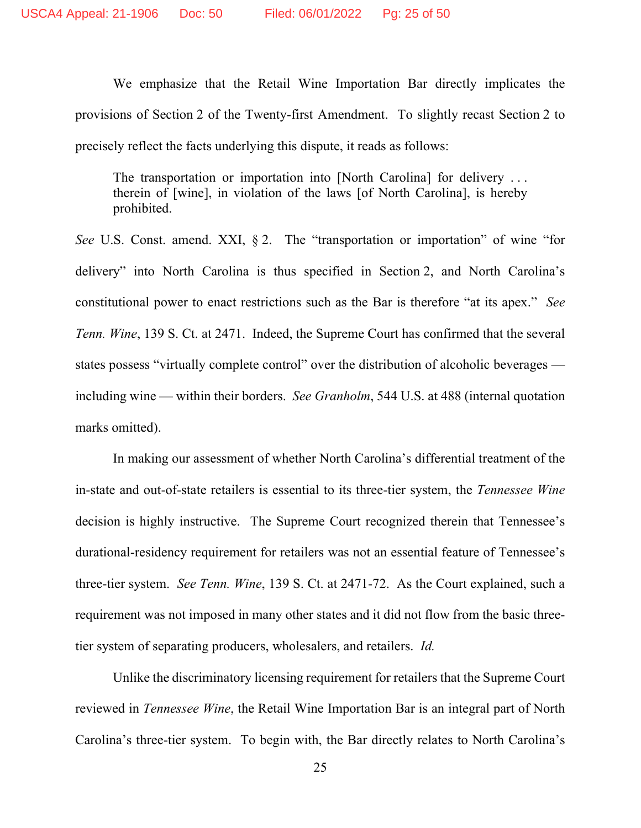We emphasize that the Retail Wine Importation Bar directly implicates the provisions of Section 2 of the Twenty-first Amendment. To slightly recast Section 2 to precisely reflect the facts underlying this dispute, it reads as follows:

The transportation or importation into [North Carolina] for delivery ... therein of [wine], in violation of the laws [of North Carolina], is hereby prohibited.

*See* U.S. Const. amend. XXI, § 2. The "transportation or importation" of wine "for delivery" into North Carolina is thus specified in Section 2, and North Carolina's constitutional power to enact restrictions such as the Bar is therefore "at its apex." *See Tenn. Wine*, 139 S. Ct. at 2471. Indeed, the Supreme Court has confirmed that the several states possess "virtually complete control" over the distribution of alcoholic beverages including wine — within their borders. *See Granholm*, 544 U.S. at 488 (internal quotation marks omitted).

In making our assessment of whether North Carolina's differential treatment of the in-state and out-of-state retailers is essential to its three-tier system, the *Tennessee Wine* decision is highly instructive. The Supreme Court recognized therein that Tennessee's durational-residency requirement for retailers was not an essential feature of Tennessee's three-tier system. *See Tenn. Wine*, 139 S. Ct. at 2471-72. As the Court explained, such a requirement was not imposed in many other states and it did not flow from the basic threetier system of separating producers, wholesalers, and retailers. *Id.*

Unlike the discriminatory licensing requirement for retailers that the Supreme Court reviewed in *Tennessee Wine*, the Retail Wine Importation Bar is an integral part of North Carolina's three-tier system. To begin with, the Bar directly relates to North Carolina's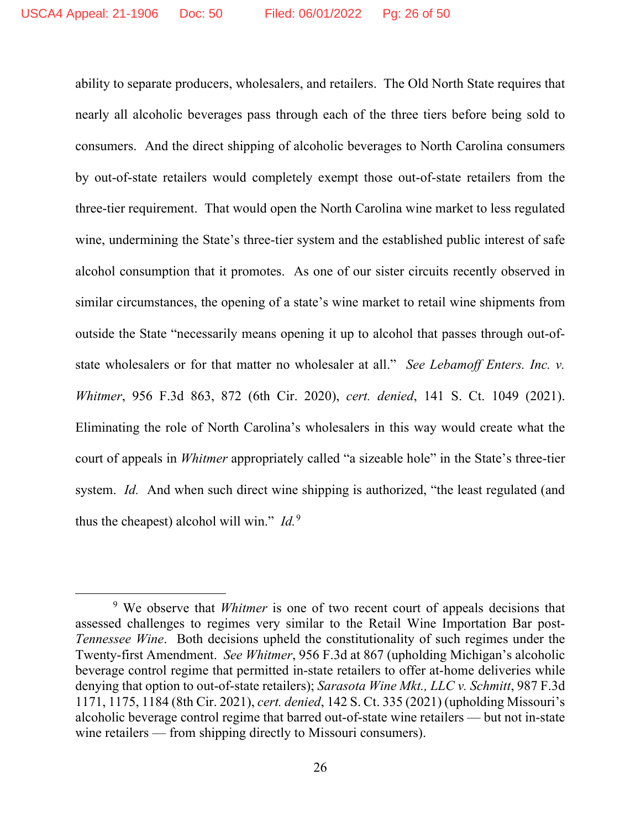ability to separate producers, wholesalers, and retailers. The Old North State requires that nearly all alcoholic beverages pass through each of the three tiers before being sold to consumers. And the direct shipping of alcoholic beverages to North Carolina consumers by out-of-state retailers would completely exempt those out-of-state retailers from the three-tier requirement. That would open the North Carolina wine market to less regulated wine, undermining the State's three-tier system and the established public interest of safe alcohol consumption that it promotes. As one of our sister circuits recently observed in similar circumstances, the opening of a state's wine market to retail wine shipments from outside the State "necessarily means opening it up to alcohol that passes through out-ofstate wholesalers or for that matter no wholesaler at all." *See Lebamoff Enters. Inc. v. Whitmer*, 956 F.3d 863, 872 (6th Cir. 2020), *cert. denied*, 141 S. Ct. 1049 (2021). Eliminating the role of North Carolina's wholesalers in this way would create what the court of appeals in *Whitmer* appropriately called "a sizeable hole" in the State's three-tier system. *Id.* And when such direct wine shipping is authorized, "the least regulated (and thus the cheapest) alcohol will win."  $Id.^9$  $Id.^9$ 

<span id="page-25-0"></span><sup>&</sup>lt;sup>9</sup> We observe that *Whitmer* is one of two recent court of appeals decisions that assessed challenges to regimes very similar to the Retail Wine Importation Bar post-*Tennessee Wine*. Both decisions upheld the constitutionality of such regimes under the Twenty-first Amendment. *See Whitmer*, 956 F.3d at 867 (upholding Michigan's alcoholic beverage control regime that permitted in-state retailers to offer at-home deliveries while denying that option to out-of-state retailers); *Sarasota Wine Mkt., LLC v. Schmitt*, 987 F.3d 1171, 1175, 1184 (8th Cir. 2021), *cert. denied*, 142 S. Ct. 335 (2021) (upholding Missouri's alcoholic beverage control regime that barred out-of-state wine retailers — but not in-state wine retailers — from shipping directly to Missouri consumers).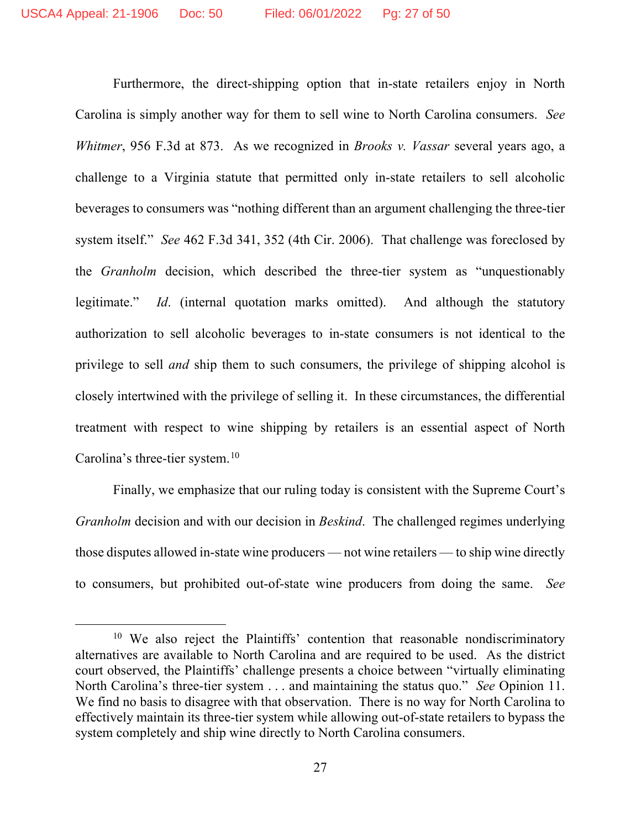Furthermore, the direct-shipping option that in-state retailers enjoy in North Carolina is simply another way for them to sell wine to North Carolina consumers. *See Whitmer*, 956 F.3d at 873. As we recognized in *Brooks v. Vassar* several years ago, a challenge to a Virginia statute that permitted only in-state retailers to sell alcoholic beverages to consumers was "nothing different than an argument challenging the three-tier system itself." *See* 462 F.3d 341, 352 (4th Cir. 2006). That challenge was foreclosed by the *Granholm* decision, which described the three-tier system as "unquestionably legitimate." *Id*. (internal quotation marks omitted). And although the statutory authorization to sell alcoholic beverages to in-state consumers is not identical to the privilege to sell *and* ship them to such consumers, the privilege of shipping alcohol is closely intertwined with the privilege of selling it. In these circumstances, the differential treatment with respect to wine shipping by retailers is an essential aspect of North Carolina's three-tier system.<sup>[10](#page-26-0)</sup>

Finally, we emphasize that our ruling today is consistent with the Supreme Court's *Granholm* decision and with our decision in *Beskind*. The challenged regimes underlying those disputes allowed in-state wine producers — not wine retailers — to ship wine directly to consumers, but prohibited out-of-state wine producers from doing the same. *See*

<span id="page-26-0"></span><sup>&</sup>lt;sup>10</sup> We also reject the Plaintiffs' contention that reasonable nondiscriminatory alternatives are available to North Carolina and are required to be used. As the district court observed, the Plaintiffs' challenge presents a choice between "virtually eliminating North Carolina's three-tier system . . . and maintaining the status quo." *See* Opinion 11. We find no basis to disagree with that observation. There is no way for North Carolina to effectively maintain its three-tier system while allowing out-of-state retailers to bypass the system completely and ship wine directly to North Carolina consumers.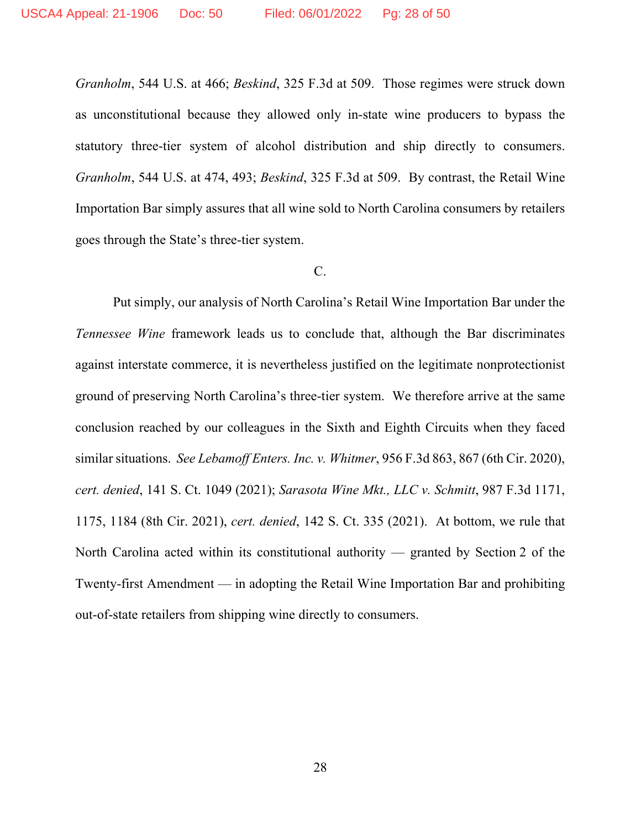*Granholm*, 544 U.S. at 466; *Beskind*, 325 F.3d at 509. Those regimes were struck down as unconstitutional because they allowed only in-state wine producers to bypass the statutory three-tier system of alcohol distribution and ship directly to consumers. *Granholm*, 544 U.S. at 474, 493; *Beskind*, 325 F.3d at 509. By contrast, the Retail Wine Importation Bar simply assures that all wine sold to North Carolina consumers by retailers goes through the State's three-tier system.

### C.

Put simply, our analysis of North Carolina's Retail Wine Importation Bar under the *Tennessee Wine* framework leads us to conclude that, although the Bar discriminates against interstate commerce, it is nevertheless justified on the legitimate nonprotectionist ground of preserving North Carolina's three-tier system. We therefore arrive at the same conclusion reached by our colleagues in the Sixth and Eighth Circuits when they faced similar situations. *See Lebamoff Enters. Inc. v. Whitmer*, 956 F.3d 863, 867 (6th Cir. 2020), *cert. denied*, 141 S. Ct. 1049 (2021); *Sarasota Wine Mkt., LLC v. Schmitt*, 987 F.3d 1171, 1175, 1184 (8th Cir. 2021), *cert. denied*, 142 S. Ct. 335 (2021). At bottom, we rule that North Carolina acted within its constitutional authority — granted by Section 2 of the Twenty-first Amendment — in adopting the Retail Wine Importation Bar and prohibiting out-of-state retailers from shipping wine directly to consumers.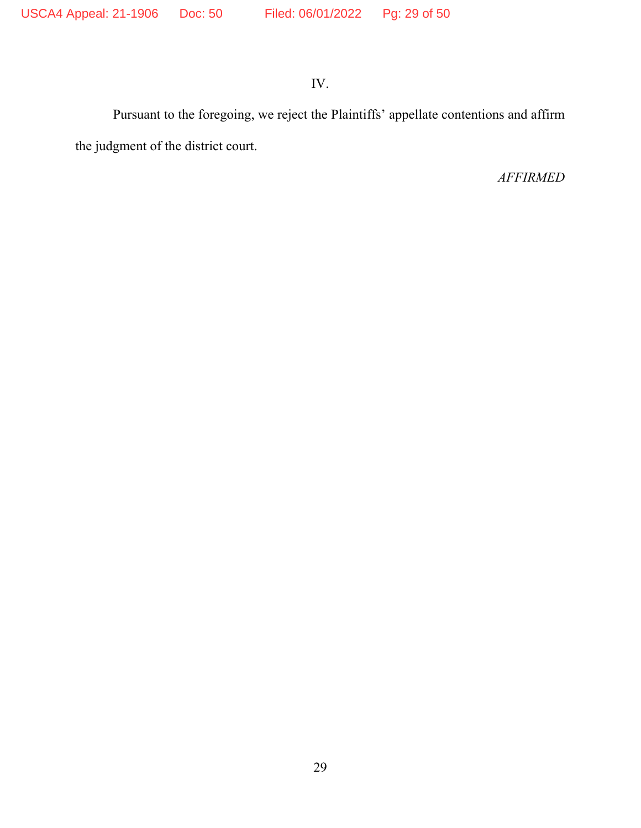# IV.

Pursuant to the foregoing, we reject the Plaintiffs' appellate contentions and affirm the judgment of the district court.

# *AFFIRMED*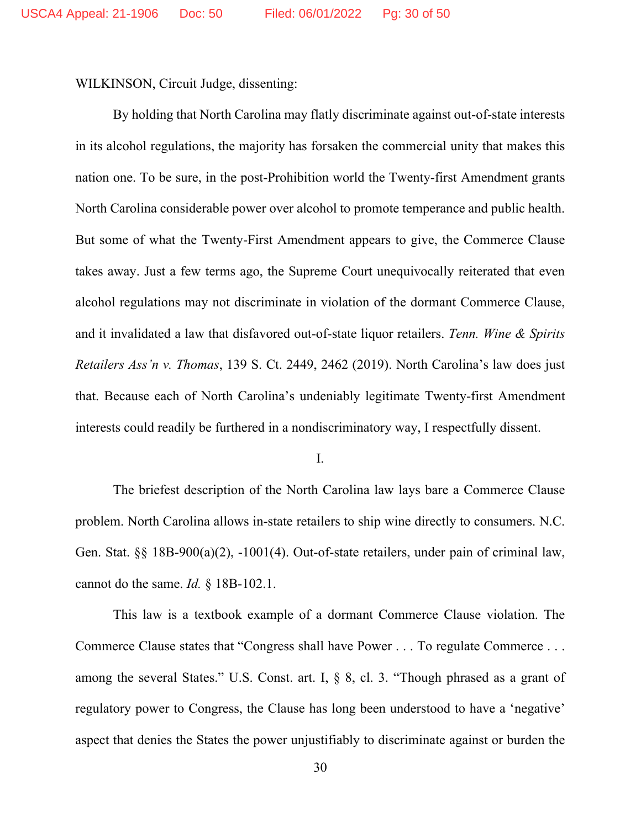WILKINSON, Circuit Judge, dissenting:

By holding that North Carolina may flatly discriminate against out-of-state interests in its alcohol regulations, the majority has forsaken the commercial unity that makes this nation one. To be sure, in the post-Prohibition world the Twenty-first Amendment grants North Carolina considerable power over alcohol to promote temperance and public health. But some of what the Twenty-First Amendment appears to give, the Commerce Clause takes away. Just a few terms ago, the Supreme Court unequivocally reiterated that even alcohol regulations may not discriminate in violation of the dormant Commerce Clause, and it invalidated a law that disfavored out-of-state liquor retailers. *Tenn. Wine & Spirits Retailers Ass'n v. Thomas*, 139 S. Ct. 2449, 2462 (2019). North Carolina's law does just that. Because each of North Carolina's undeniably legitimate Twenty-first Amendment interests could readily be furthered in a nondiscriminatory way, I respectfully dissent.

I.

The briefest description of the North Carolina law lays bare a Commerce Clause problem. North Carolina allows in-state retailers to ship wine directly to consumers. N.C. Gen. Stat. §§ 18B-900(a)(2), -1001(4). Out-of-state retailers, under pain of criminal law, cannot do the same. *Id.* § 18B-102.1.

This law is a textbook example of a dormant Commerce Clause violation. The Commerce Clause states that "Congress shall have Power . . . To regulate Commerce . . . among the several States." U.S. Const. art. I, § 8, cl. 3. "Though phrased as a grant of regulatory power to Congress, the Clause has long been understood to have a 'negative' aspect that denies the States the power unjustifiably to discriminate against or burden the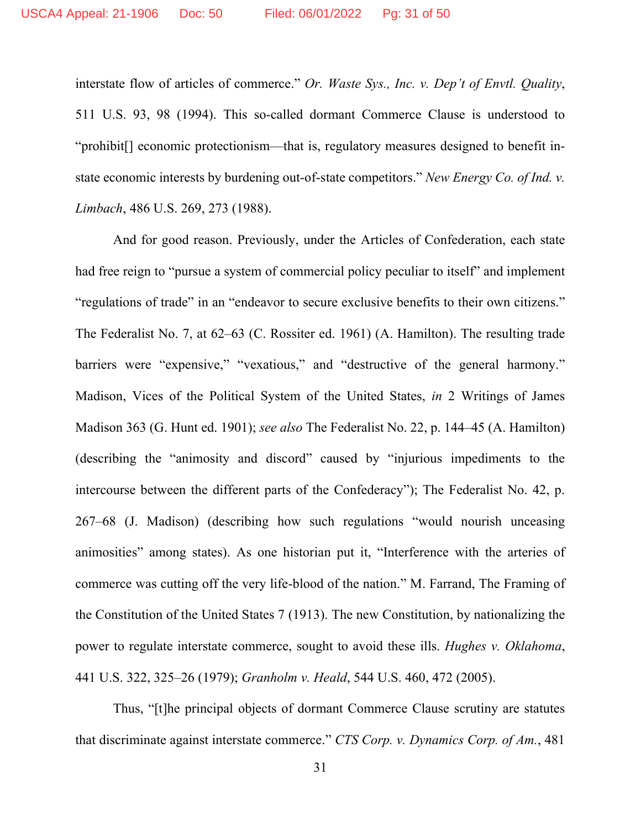interstate flow of articles of commerce." *Or. Waste Sys., Inc. v. Dep't of Envtl. Quality*, 511 U.S. 93, 98 (1994). This so-called dormant Commerce Clause is understood to "prohibit[] economic protectionism—that is, regulatory measures designed to benefit instate economic interests by burdening out-of-state competitors." *New Energy Co. of Ind. v. Limbach*, 486 U.S. 269, 273 (1988).

And for good reason. Previously, under the Articles of Confederation, each state had free reign to "pursue a system of commercial policy peculiar to itself" and implement "regulations of trade" in an "endeavor to secure exclusive benefits to their own citizens." The Federalist No. 7, at 62–63 (C. Rossiter ed. 1961) (A. Hamilton). The resulting trade barriers were "expensive," "vexatious," and "destructive of the general harmony." Madison, Vices of the Political System of the United States, *in* 2 Writings of James Madison 363 (G. Hunt ed. 1901); *see also* The Federalist No. 22, p. 144–45 (A. Hamilton) (describing the "animosity and discord" caused by "injurious impediments to the intercourse between the different parts of the Confederacy"); The Federalist No. 42, p. 267–68 (J. Madison) (describing how such regulations "would nourish unceasing animosities" among states). As one historian put it, "Interference with the arteries of commerce was cutting off the very life-blood of the nation." M. Farrand, The Framing of the Constitution of the United States 7 (1913). The new Constitution, by nationalizing the power to regulate interstate commerce, sought to avoid these ills. *Hughes v. Oklahoma*, 441 U.S. 322, 325–26 (1979); *Granholm v. Heald*, 544 U.S. 460, 472 (2005).

Thus, "[t]he principal objects of dormant Commerce Clause scrutiny are statutes that discriminate against interstate commerce." *CTS Corp. v. Dynamics Corp. of Am.*, 481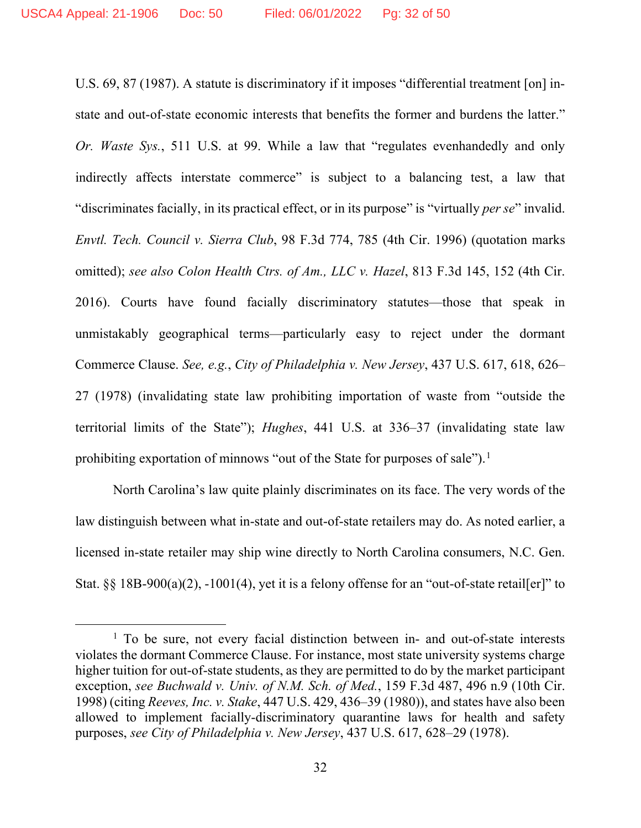U.S. 69, 87 (1987). A statute is discriminatory if it imposes "differential treatment [on] instate and out-of-state economic interests that benefits the former and burdens the latter." *Or. Waste Sys.*, 511 U.S. at 99. While a law that "regulates evenhandedly and only indirectly affects interstate commerce" is subject to a balancing test, a law that "discriminates facially, in its practical effect, or in its purpose" is "virtually *per se*" invalid. *Envtl. Tech. Council v. Sierra Club*, 98 F.3d 774, 785 (4th Cir. 1996) (quotation marks omitted); *see also Colon Health Ctrs. of Am., LLC v. Hazel*, 813 F.3d 145, 152 (4th Cir. 2016). Courts have found facially discriminatory statutes—those that speak in unmistakably geographical terms—particularly easy to reject under the dormant Commerce Clause. *See, e.g.*, *City of Philadelphia v. New Jersey*, 437 U.S. 617, 618, 626– 27 (1978) (invalidating state law prohibiting importation of waste from "outside the territorial limits of the State"); *Hughes*, 441 U.S. at 336–37 (invalidating state law prohibiting exportation of minnows "out of the State for purposes of sale").<sup>[1](#page-31-0)</sup>

North Carolina's law quite plainly discriminates on its face. The very words of the law distinguish between what in-state and out-of-state retailers may do. As noted earlier, a licensed in-state retailer may ship wine directly to North Carolina consumers, N.C. Gen. Stat. §§ 18B-900(a)(2), -1001(4), yet it is a felony offense for an "out-of-state retail[er]" to

<span id="page-31-0"></span> $<sup>1</sup>$  To be sure, not every facial distinction between in- and out-of-state interests</sup> violates the dormant Commerce Clause. For instance, most state university systems charge higher tuition for out-of-state students, as they are permitted to do by the market participant exception, *see Buchwald v. Univ. of N.M. Sch. of Med.*, 159 F.3d 487, 496 n.9 (10th Cir. 1998) (citing *Reeves, Inc. v. Stake*, 447 U.S. 429, 436–39 (1980)), and states have also been allowed to implement facially-discriminatory quarantine laws for health and safety purposes, *see City of Philadelphia v. New Jersey*, 437 U.S. 617, 628–29 (1978).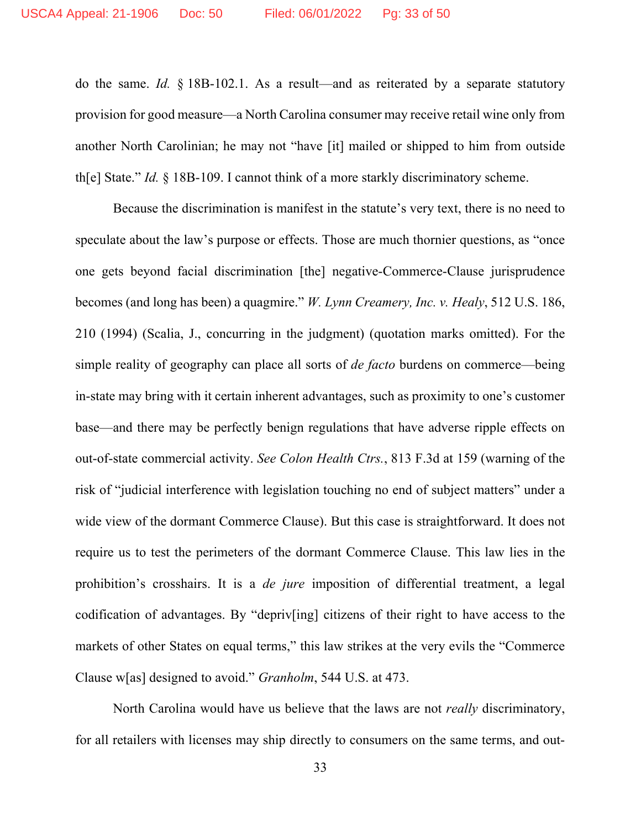do the same. *Id.* § 18B-102.1. As a result—and as reiterated by a separate statutory provision for good measure—a North Carolina consumer may receive retail wine only from another North Carolinian; he may not "have [it] mailed or shipped to him from outside th[e] State." *Id.* § 18B-109. I cannot think of a more starkly discriminatory scheme.

Because the discrimination is manifest in the statute's very text, there is no need to speculate about the law's purpose or effects. Those are much thornier questions, as "once one gets beyond facial discrimination [the] negative-Commerce-Clause jurisprudence becomes (and long has been) a quagmire." *W. Lynn Creamery, Inc. v. Healy*, 512 U.S. 186, 210 (1994) (Scalia, J., concurring in the judgment) (quotation marks omitted). For the simple reality of geography can place all sorts of *de facto* burdens on commerce—being in-state may bring with it certain inherent advantages, such as proximity to one's customer base—and there may be perfectly benign regulations that have adverse ripple effects on out-of-state commercial activity. *See Colon Health Ctrs.*, 813 F.3d at 159 (warning of the risk of "judicial interference with legislation touching no end of subject matters" under a wide view of the dormant Commerce Clause). But this case is straightforward. It does not require us to test the perimeters of the dormant Commerce Clause. This law lies in the prohibition's crosshairs. It is a *de jure* imposition of differential treatment, a legal codification of advantages. By "depriv[ing] citizens of their right to have access to the markets of other States on equal terms," this law strikes at the very evils the "Commerce" Clause w[as] designed to avoid." *Granholm*, 544 U.S. at 473.

North Carolina would have us believe that the laws are not *really* discriminatory, for all retailers with licenses may ship directly to consumers on the same terms, and out-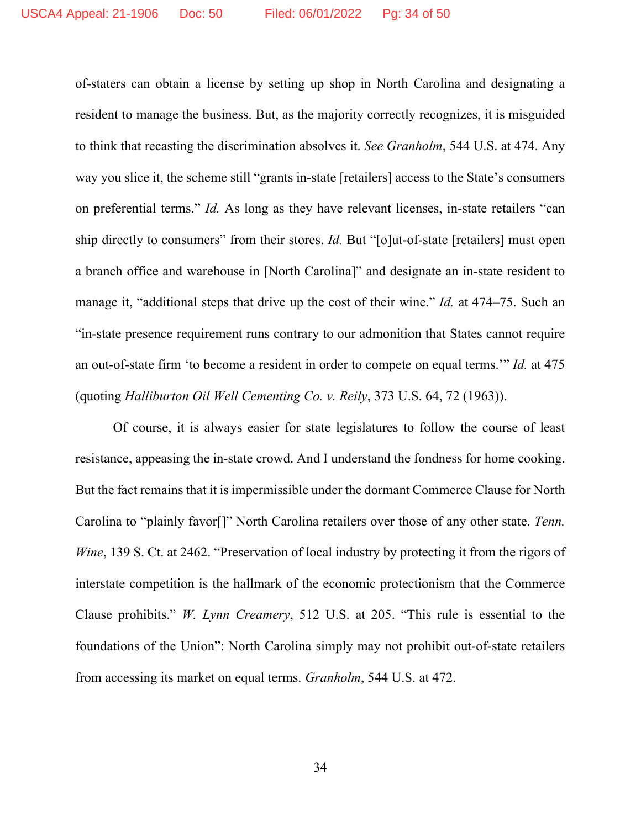of-staters can obtain a license by setting up shop in North Carolina and designating a resident to manage the business. But, as the majority correctly recognizes, it is misguided to think that recasting the discrimination absolves it. *See Granholm*, 544 U.S. at 474. Any way you slice it, the scheme still "grants in-state [retailers] access to the State's consumers on preferential terms." *Id.* As long as they have relevant licenses, in-state retailers "can ship directly to consumers" from their stores. *Id.* But "[o]ut-of-state [retailers] must open a branch office and warehouse in [North Carolina]" and designate an in-state resident to manage it, "additional steps that drive up the cost of their wine." *Id.* at 474–75. Such an "in-state presence requirement runs contrary to our admonition that States cannot require an out-of-state firm 'to become a resident in order to compete on equal terms.'" *Id.* at 475 (quoting *Halliburton Oil Well Cementing Co. v. Reily*, 373 U.S. 64, 72 (1963)).

Of course, it is always easier for state legislatures to follow the course of least resistance, appeasing the in-state crowd. And I understand the fondness for home cooking. But the fact remains that it is impermissible under the dormant Commerce Clause for North Carolina to "plainly favor[]" North Carolina retailers over those of any other state. *Tenn. Wine*, 139 S. Ct. at 2462. "Preservation of local industry by protecting it from the rigors of interstate competition is the hallmark of the economic protectionism that the Commerce Clause prohibits." *W. Lynn Creamery*, 512 U.S. at 205. "This rule is essential to the foundations of the Union": North Carolina simply may not prohibit out-of-state retailers from accessing its market on equal terms. *Granholm*, 544 U.S. at 472.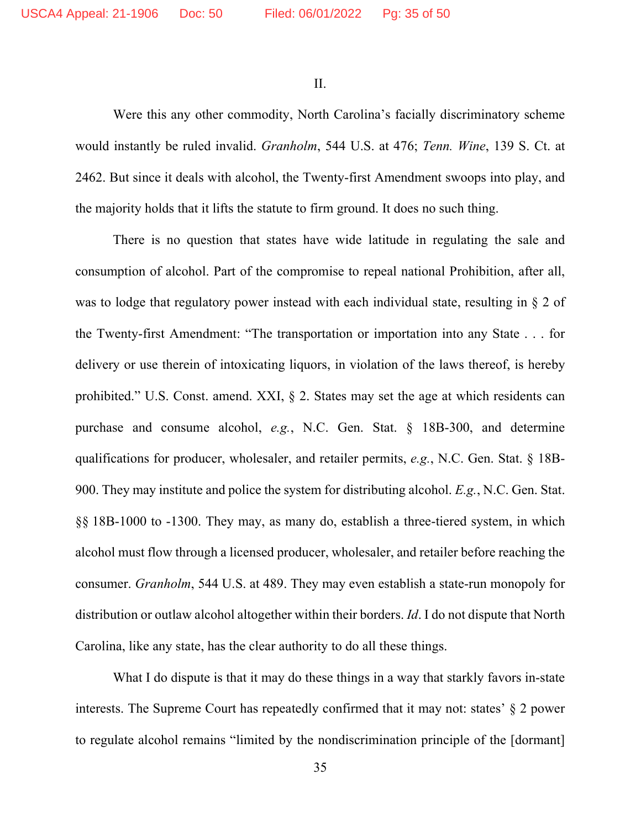II.

Were this any other commodity, North Carolina's facially discriminatory scheme would instantly be ruled invalid. *Granholm*, 544 U.S. at 476; *Tenn. Wine*, 139 S. Ct. at 2462. But since it deals with alcohol, the Twenty-first Amendment swoops into play, and the majority holds that it lifts the statute to firm ground. It does no such thing.

There is no question that states have wide latitude in regulating the sale and consumption of alcohol. Part of the compromise to repeal national Prohibition, after all, was to lodge that regulatory power instead with each individual state, resulting in § 2 of the Twenty-first Amendment: "The transportation or importation into any State . . . for delivery or use therein of intoxicating liquors, in violation of the laws thereof, is hereby prohibited." U.S. Const. amend. XXI, § 2. States may set the age at which residents can purchase and consume alcohol, *e.g.*, N.C. Gen. Stat. § 18B-300, and determine qualifications for producer, wholesaler, and retailer permits, *e.g.*, N.C. Gen. Stat. § 18B-900. They may institute and police the system for distributing alcohol. *E.g.*, N.C. Gen. Stat. §§ 18B-1000 to -1300. They may, as many do, establish a three-tiered system, in which alcohol must flow through a licensed producer, wholesaler, and retailer before reaching the consumer. *Granholm*, 544 U.S. at 489. They may even establish a state-run monopoly for distribution or outlaw alcohol altogether within their borders. *Id*. I do not dispute that North Carolina, like any state, has the clear authority to do all these things.

What I do dispute is that it may do these things in a way that starkly favors in-state interests. The Supreme Court has repeatedly confirmed that it may not: states' § 2 power to regulate alcohol remains "limited by the nondiscrimination principle of the [dormant]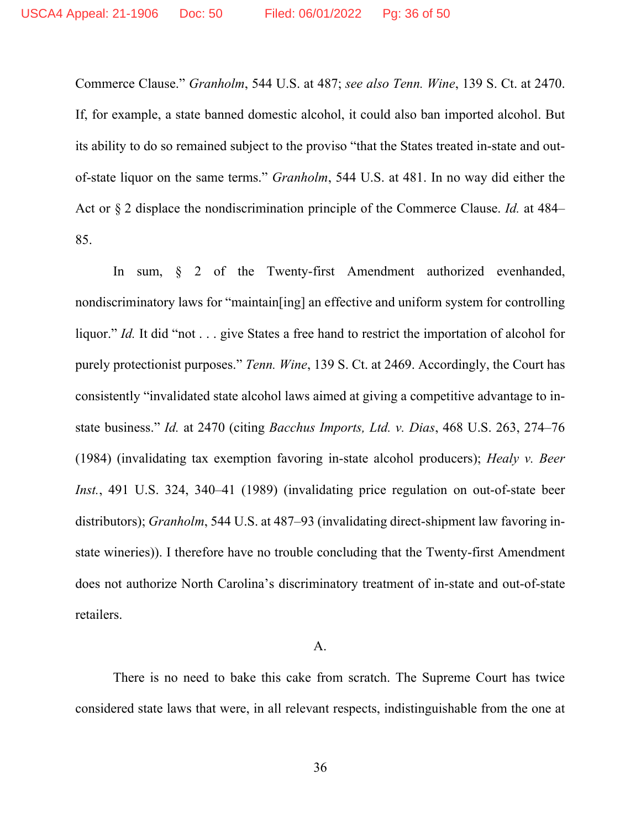Commerce Clause." *Granholm*, 544 U.S. at 487; *see also Tenn. Wine*, 139 S. Ct. at 2470. If, for example, a state banned domestic alcohol, it could also ban imported alcohol. But its ability to do so remained subject to the proviso "that the States treated in-state and outof-state liquor on the same terms." *Granholm*, 544 U.S. at 481. In no way did either the Act or § 2 displace the nondiscrimination principle of the Commerce Clause. *Id.* at 484– 85.

In sum, § 2 of the Twenty-first Amendment authorized evenhanded, nondiscriminatory laws for "maintain[ing] an effective and uniform system for controlling liquor." *Id.* It did "not . . . give States a free hand to restrict the importation of alcohol for purely protectionist purposes." *Tenn. Wine*, 139 S. Ct. at 2469. Accordingly, the Court has consistently "invalidated state alcohol laws aimed at giving a competitive advantage to instate business." *Id.* at 2470 (citing *Bacchus Imports, Ltd. v. Dias*, 468 U.S. 263, 274–76 (1984) (invalidating tax exemption favoring in-state alcohol producers); *Healy v. Beer Inst.*, 491 U.S. 324, 340–41 (1989) (invalidating price regulation on out-of-state beer distributors); *Granholm*, 544 U.S. at 487–93 (invalidating direct-shipment law favoring instate wineries)). I therefore have no trouble concluding that the Twenty-first Amendment does not authorize North Carolina's discriminatory treatment of in-state and out-of-state retailers.

#### A.

There is no need to bake this cake from scratch. The Supreme Court has twice considered state laws that were, in all relevant respects, indistinguishable from the one at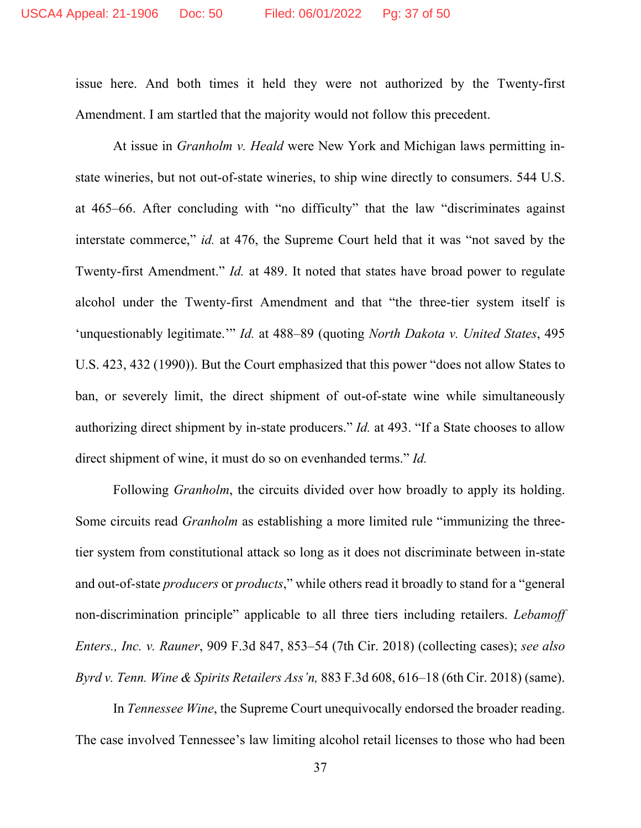issue here. And both times it held they were not authorized by the Twenty-first Amendment. I am startled that the majority would not follow this precedent.

At issue in *Granholm v. Heald* were New York and Michigan laws permitting instate wineries, but not out-of-state wineries, to ship wine directly to consumers. 544 U.S. at 465–66. After concluding with "no difficulty" that the law "discriminates against interstate commerce," *id.* at 476, the Supreme Court held that it was "not saved by the Twenty-first Amendment." *Id.* at 489. It noted that states have broad power to regulate alcohol under the Twenty-first Amendment and that "the three-tier system itself is 'unquestionably legitimate.'" *Id.* at 488–89 (quoting *North Dakota v. United States*, 495 U.S. 423, 432 (1990)). But the Court emphasized that this power "does not allow States to ban, or severely limit, the direct shipment of out-of-state wine while simultaneously authorizing direct shipment by in-state producers." *Id.* at 493. "If a State chooses to allow direct shipment of wine, it must do so on evenhanded terms." *Id.*

Following *Granholm*, the circuits divided over how broadly to apply its holding. Some circuits read *Granholm* as establishing a more limited rule "immunizing the threetier system from constitutional attack so long as it does not discriminate between in-state and out-of-state *producers* or *products*," while others read it broadly to stand for a "general non-discrimination principle" applicable to all three tiers including retailers. *Lebamoff Enters., Inc. v. Rauner*, 909 F.3d 847, 853–54 (7th Cir. 2018) (collecting cases); *see also Byrd v. Tenn. Wine & Spirits Retailers Ass'n,* 883 F.3d 608, 616–18 (6th Cir. 2018) (same).

In *Tennessee Wine*, the Supreme Court unequivocally endorsed the broader reading. The case involved Tennessee's law limiting alcohol retail licenses to those who had been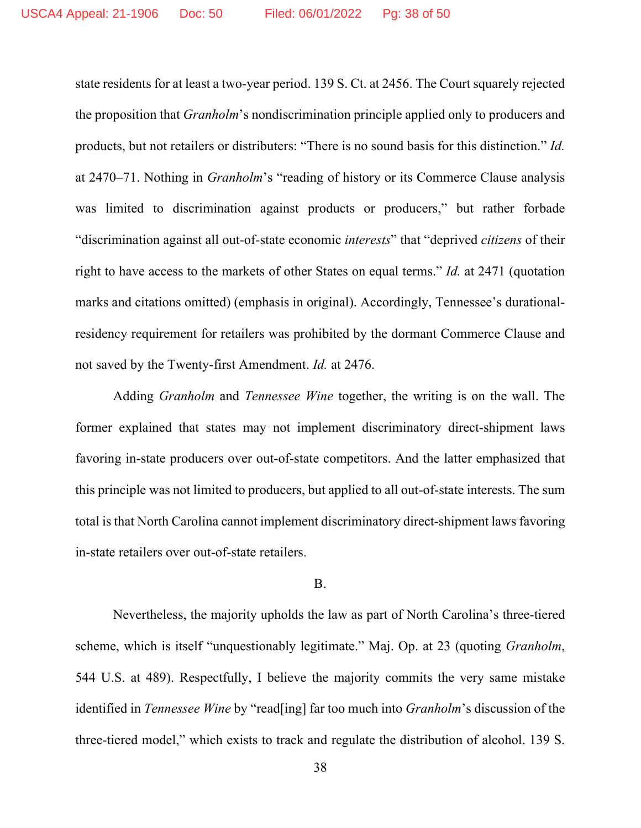state residents for at least a two-year period. 139 S. Ct. at 2456. The Court squarely rejected the proposition that *Granholm*'s nondiscrimination principle applied only to producers and products, but not retailers or distributers: "There is no sound basis for this distinction." *Id.*  at 2470–71. Nothing in *Granholm*'s "reading of history or its Commerce Clause analysis was limited to discrimination against products or producers," but rather forbade "discrimination against all out-of-state economic *interests*" that "deprived *citizens* of their right to have access to the markets of other States on equal terms." *Id.* at 2471 (quotation marks and citations omitted) (emphasis in original). Accordingly, Tennessee's durationalresidency requirement for retailers was prohibited by the dormant Commerce Clause and not saved by the Twenty-first Amendment. *Id.* at 2476.

Adding *Granholm* and *Tennessee Wine* together, the writing is on the wall. The former explained that states may not implement discriminatory direct-shipment laws favoring in-state producers over out-of-state competitors. And the latter emphasized that this principle was not limited to producers, but applied to all out-of-state interests. The sum total is that North Carolina cannot implement discriminatory direct-shipment laws favoring in-state retailers over out-of-state retailers.

### B.

Nevertheless, the majority upholds the law as part of North Carolina's three-tiered scheme, which is itself "unquestionably legitimate." Maj. Op. at 23 (quoting *Granholm*, 544 U.S. at 489). Respectfully, I believe the majority commits the very same mistake identified in *Tennessee Wine* by "read[ing] far too much into *Granholm*'s discussion of the three-tiered model," which exists to track and regulate the distribution of alcohol. 139 S.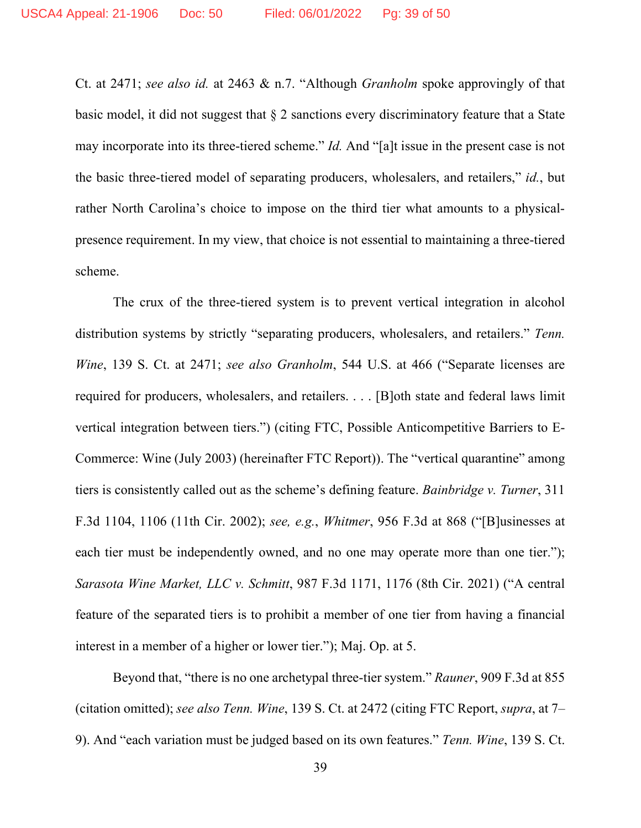Ct. at 2471; *see also id.* at 2463 & n.7. "Although *Granholm* spoke approvingly of that basic model, it did not suggest that § 2 sanctions every discriminatory feature that a State may incorporate into its three-tiered scheme." *Id.* And "[a]t issue in the present case is not the basic three-tiered model of separating producers, wholesalers, and retailers," *id.*, but rather North Carolina's choice to impose on the third tier what amounts to a physicalpresence requirement. In my view, that choice is not essential to maintaining a three-tiered scheme.

The crux of the three-tiered system is to prevent vertical integration in alcohol distribution systems by strictly "separating producers, wholesalers, and retailers." *Tenn. Wine*, 139 S. Ct. at 2471; *see also Granholm*, 544 U.S. at 466 ("Separate licenses are required for producers, wholesalers, and retailers. . . . [B]oth state and federal laws limit vertical integration between tiers.") (citing FTC, Possible Anticompetitive Barriers to E-Commerce: Wine (July 2003) (hereinafter FTC Report)). The "vertical quarantine" among tiers is consistently called out as the scheme's defining feature. *Bainbridge v. Turner*, 311 F.3d 1104, 1106 (11th Cir. 2002); *see, e.g.*, *Whitmer*, 956 F.3d at 868 ("[B]usinesses at each tier must be independently owned, and no one may operate more than one tier."); *Sarasota Wine Market, LLC v. Schmitt*, 987 F.3d 1171, 1176 (8th Cir. 2021) ("A central feature of the separated tiers is to prohibit a member of one tier from having a financial interest in a member of a higher or lower tier."); Maj. Op. at 5.

Beyond that, "there is no one archetypal three-tier system." *Rauner*, 909 F.3d at 855 (citation omitted); *see also Tenn. Wine*, 139 S. Ct. at 2472 (citing FTC Report, *supra*, at 7– 9). And "each variation must be judged based on its own features." *Tenn. Wine*, 139 S. Ct.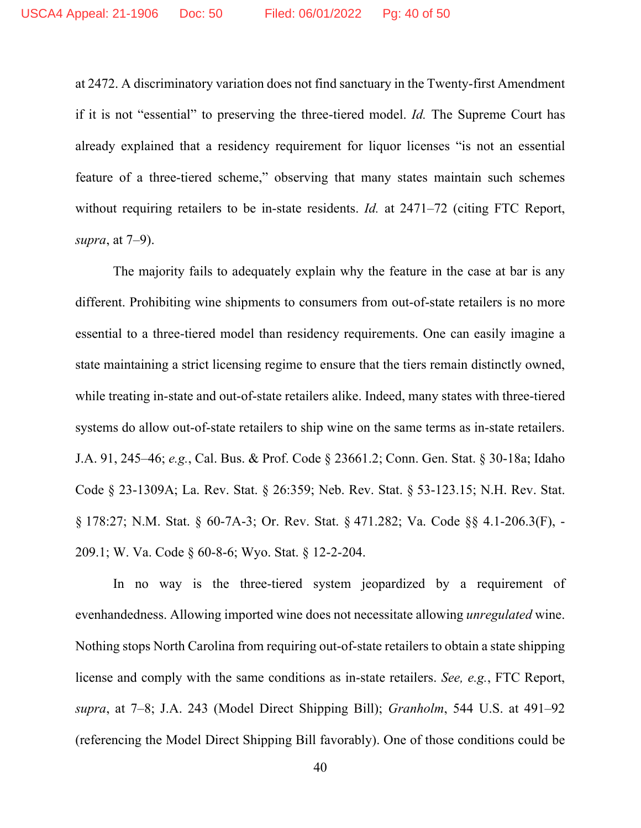at 2472. A discriminatory variation does not find sanctuary in the Twenty-first Amendment if it is not "essential" to preserving the three-tiered model. *Id.* The Supreme Court has already explained that a residency requirement for liquor licenses "is not an essential feature of a three-tiered scheme," observing that many states maintain such schemes without requiring retailers to be in-state residents. *Id.* at 2471–72 (citing FTC Report, *supra*, at 7–9).

The majority fails to adequately explain why the feature in the case at bar is any different. Prohibiting wine shipments to consumers from out-of-state retailers is no more essential to a three-tiered model than residency requirements. One can easily imagine a state maintaining a strict licensing regime to ensure that the tiers remain distinctly owned, while treating in-state and out-of-state retailers alike. Indeed, many states with three-tiered systems do allow out-of-state retailers to ship wine on the same terms as in-state retailers. J.A. 91, 245–46; *e.g.*, Cal. Bus. & Prof. Code § 23661.2; Conn. Gen. Stat. § 30-18a; Idaho Code § 23-1309A; La. Rev. Stat. § 26:359; Neb. Rev. Stat. § 53-123.15; N.H. Rev. Stat. § 178:27; N.M. Stat. § 60-7A-3; Or. Rev. Stat. § 471.282; Va. Code §§ 4.1-206.3(F), - 209.1; W. Va. Code § 60-8-6; Wyo. Stat. § 12-2-204.

In no way is the three-tiered system jeopardized by a requirement of evenhandedness. Allowing imported wine does not necessitate allowing *unregulated* wine. Nothing stops North Carolina from requiring out-of-state retailers to obtain a state shipping license and comply with the same conditions as in-state retailers. *See, e.g.*, FTC Report, *supra*, at 7–8; J.A. 243 (Model Direct Shipping Bill); *Granholm*, 544 U.S. at 491–92 (referencing the Model Direct Shipping Bill favorably). One of those conditions could be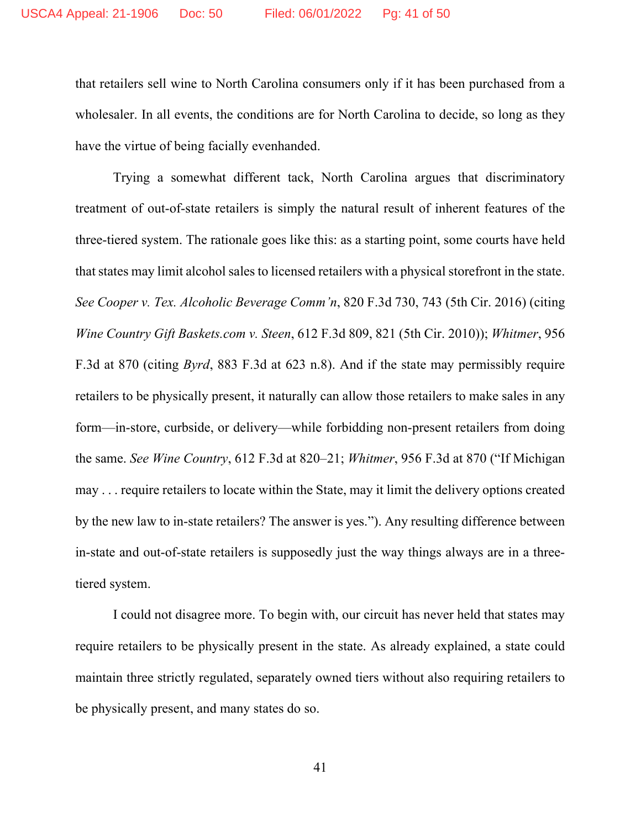that retailers sell wine to North Carolina consumers only if it has been purchased from a wholesaler. In all events, the conditions are for North Carolina to decide, so long as they have the virtue of being facially evenhanded.

Trying a somewhat different tack, North Carolina argues that discriminatory treatment of out-of-state retailers is simply the natural result of inherent features of the three-tiered system. The rationale goes like this: as a starting point, some courts have held that states may limit alcohol sales to licensed retailers with a physical storefront in the state. *See Cooper v. Tex. Alcoholic Beverage Comm'n*, 820 F.3d 730, 743 (5th Cir. 2016) (citing *Wine Country Gift Baskets.com v. Steen*, 612 F.3d 809, 821 (5th Cir. 2010)); *Whitmer*, 956 F.3d at 870 (citing *Byrd*, 883 F.3d at 623 n.8). And if the state may permissibly require retailers to be physically present, it naturally can allow those retailers to make sales in any form—in-store, curbside, or delivery—while forbidding non-present retailers from doing the same. *See Wine Country*, 612 F.3d at 820–21; *Whitmer*, 956 F.3d at 870 ("If Michigan may . . . require retailers to locate within the State, may it limit the delivery options created by the new law to in-state retailers? The answer is yes."). Any resulting difference between in-state and out-of-state retailers is supposedly just the way things always are in a threetiered system.

I could not disagree more. To begin with, our circuit has never held that states may require retailers to be physically present in the state. As already explained, a state could maintain three strictly regulated, separately owned tiers without also requiring retailers to be physically present, and many states do so.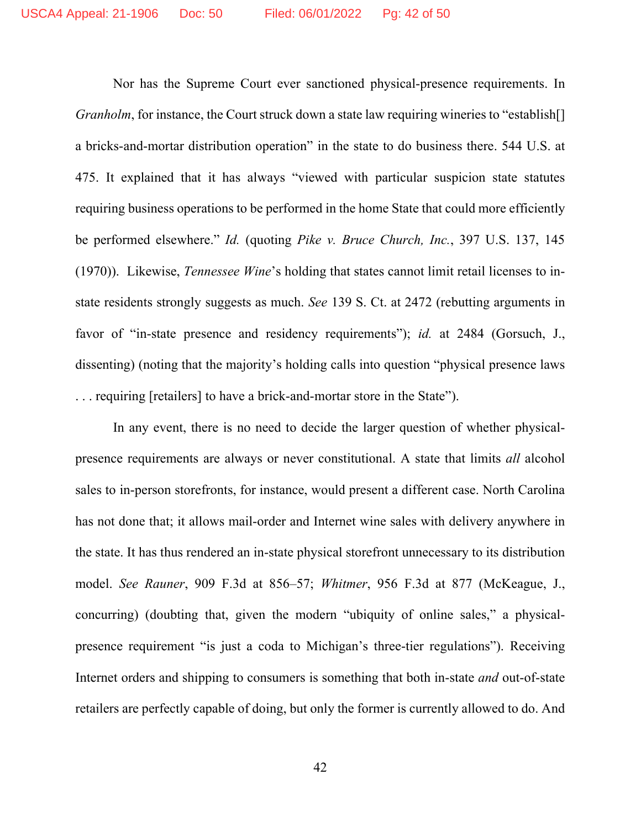Nor has the Supreme Court ever sanctioned physical-presence requirements. In *Granholm*, for instance, the Court struck down a state law requiring wineries to "establish<sup>[]</sup> a bricks-and-mortar distribution operation" in the state to do business there. 544 U.S. at 475. It explained that it has always "viewed with particular suspicion state statutes requiring business operations to be performed in the home State that could more efficiently be performed elsewhere." *Id.* (quoting *Pike v. Bruce Church, Inc.*, 397 U.S. 137, 145 (1970)). Likewise, *Tennessee Wine*'s holding that states cannot limit retail licenses to instate residents strongly suggests as much. *See* 139 S. Ct. at 2472 (rebutting arguments in favor of "in-state presence and residency requirements"); *id.* at 2484 (Gorsuch, J., dissenting) (noting that the majority's holding calls into question "physical presence laws . . . requiring [retailers] to have a brick-and-mortar store in the State").

In any event, there is no need to decide the larger question of whether physicalpresence requirements are always or never constitutional. A state that limits *all* alcohol sales to in-person storefronts, for instance, would present a different case. North Carolina has not done that; it allows mail-order and Internet wine sales with delivery anywhere in the state. It has thus rendered an in-state physical storefront unnecessary to its distribution model. *See Rauner*, 909 F.3d at 856–57; *Whitmer*, 956 F.3d at 877 (McKeague, J., concurring) (doubting that, given the modern "ubiquity of online sales," a physicalpresence requirement "is just a coda to Michigan's three-tier regulations"). Receiving Internet orders and shipping to consumers is something that both in-state *and* out-of-state retailers are perfectly capable of doing, but only the former is currently allowed to do. And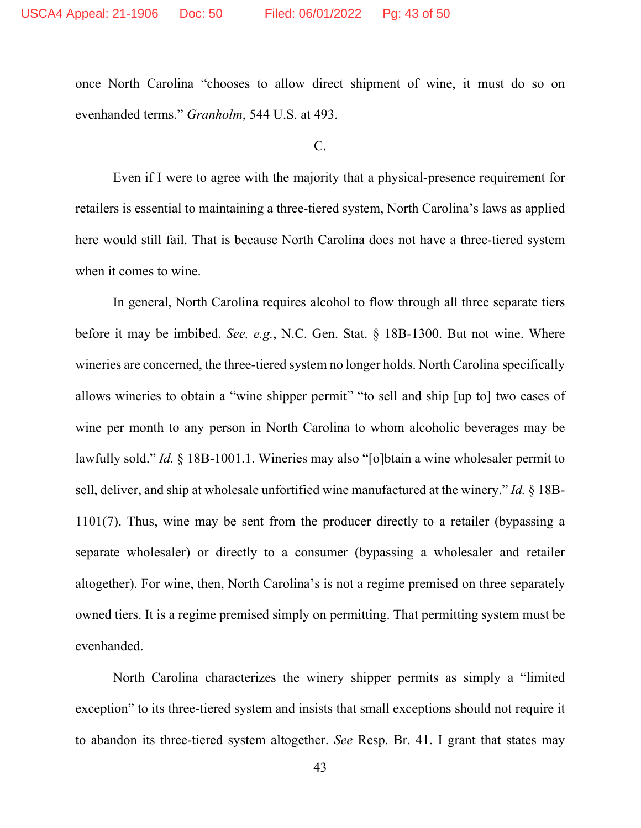once North Carolina "chooses to allow direct shipment of wine, it must do so on evenhanded terms." *Granholm*, 544 U.S. at 493.

C.

Even if I were to agree with the majority that a physical-presence requirement for retailers is essential to maintaining a three-tiered system, North Carolina's laws as applied here would still fail. That is because North Carolina does not have a three-tiered system when it comes to wine.

In general, North Carolina requires alcohol to flow through all three separate tiers before it may be imbibed. *See, e.g.*, N.C. Gen. Stat. § 18B-1300. But not wine. Where wineries are concerned, the three-tiered system no longer holds. North Carolina specifically allows wineries to obtain a "wine shipper permit" "to sell and ship [up to] two cases of wine per month to any person in North Carolina to whom alcoholic beverages may be lawfully sold." *Id.* § 18B-1001.1. Wineries may also "[o]btain a wine wholesaler permit to sell, deliver, and ship at wholesale unfortified wine manufactured at the winery." *Id.* § 18B-1101(7). Thus, wine may be sent from the producer directly to a retailer (bypassing a separate wholesaler) or directly to a consumer (bypassing a wholesaler and retailer altogether). For wine, then, North Carolina's is not a regime premised on three separately owned tiers. It is a regime premised simply on permitting. That permitting system must be evenhanded.

North Carolina characterizes the winery shipper permits as simply a "limited exception" to its three-tiered system and insists that small exceptions should not require it to abandon its three-tiered system altogether. *See* Resp. Br. 41. I grant that states may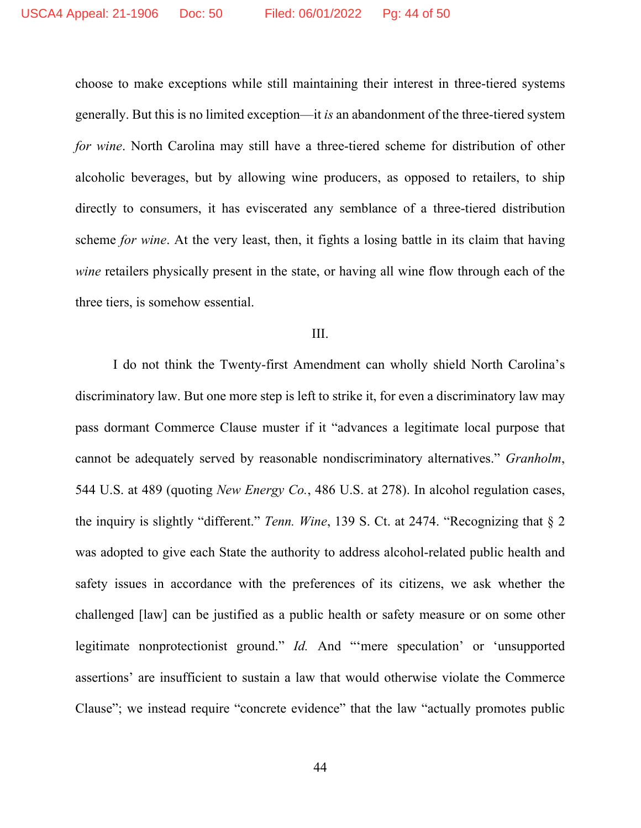choose to make exceptions while still maintaining their interest in three-tiered systems generally. But this is no limited exception—it *is* an abandonment of the three-tiered system *for wine*. North Carolina may still have a three-tiered scheme for distribution of other alcoholic beverages, but by allowing wine producers, as opposed to retailers, to ship directly to consumers, it has eviscerated any semblance of a three-tiered distribution scheme *for wine*. At the very least, then, it fights a losing battle in its claim that having *wine* retailers physically present in the state, or having all wine flow through each of the three tiers, is somehow essential.

#### III.

I do not think the Twenty-first Amendment can wholly shield North Carolina's discriminatory law. But one more step is left to strike it, for even a discriminatory law may pass dormant Commerce Clause muster if it "advances a legitimate local purpose that cannot be adequately served by reasonable nondiscriminatory alternatives." *Granholm*, 544 U.S. at 489 (quoting *New Energy Co.*, 486 U.S. at 278). In alcohol regulation cases, the inquiry is slightly "different." *Tenn. Wine*, 139 S. Ct. at 2474. "Recognizing that § 2 was adopted to give each State the authority to address alcohol-related public health and safety issues in accordance with the preferences of its citizens, we ask whether the challenged [law] can be justified as a public health or safety measure or on some other legitimate nonprotectionist ground." *Id.* And "'mere speculation' or 'unsupported assertions' are insufficient to sustain a law that would otherwise violate the Commerce Clause"; we instead require "concrete evidence" that the law "actually promotes public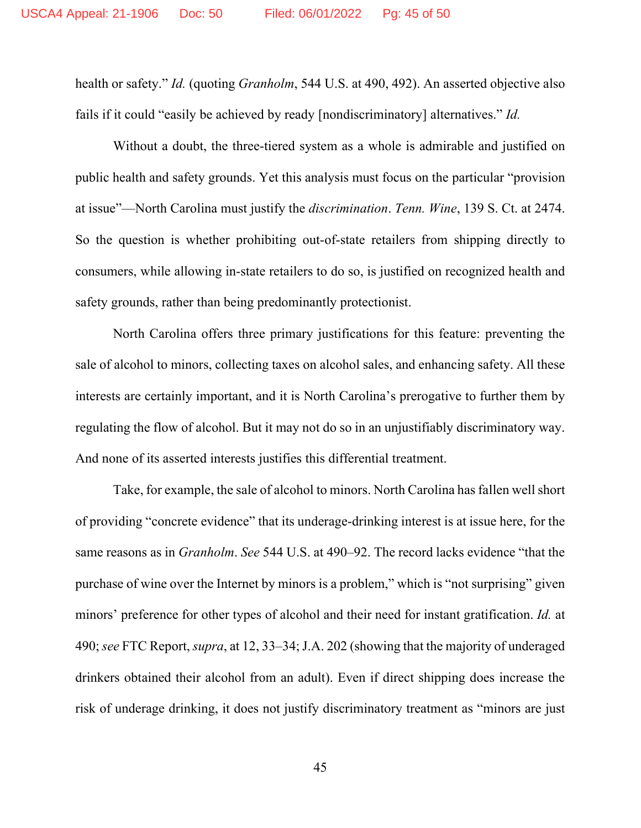health or safety." *Id.* (quoting *Granholm*, 544 U.S. at 490, 492). An asserted objective also fails if it could "easily be achieved by ready [nondiscriminatory] alternatives." *Id.*

Without a doubt, the three-tiered system as a whole is admirable and justified on public health and safety grounds. Yet this analysis must focus on the particular "provision at issue"—North Carolina must justify the *discrimination*. *Tenn. Wine*, 139 S. Ct. at 2474. So the question is whether prohibiting out-of-state retailers from shipping directly to consumers, while allowing in-state retailers to do so, is justified on recognized health and safety grounds, rather than being predominantly protectionist.

North Carolina offers three primary justifications for this feature: preventing the sale of alcohol to minors, collecting taxes on alcohol sales, and enhancing safety. All these interests are certainly important, and it is North Carolina's prerogative to further them by regulating the flow of alcohol. But it may not do so in an unjustifiably discriminatory way. And none of its asserted interests justifies this differential treatment.

Take, for example, the sale of alcohol to minors. North Carolina has fallen well short of providing "concrete evidence" that its underage-drinking interest is at issue here, for the same reasons as in *Granholm*. *See* 544 U.S. at 490–92. The record lacks evidence "that the purchase of wine over the Internet by minors is a problem," which is "not surprising" given minors' preference for other types of alcohol and their need for instant gratification. *Id.* at 490; *see* FTC Report, *supra*, at 12, 33–34; J.A. 202 (showing that the majority of underaged drinkers obtained their alcohol from an adult). Even if direct shipping does increase the risk of underage drinking, it does not justify discriminatory treatment as "minors are just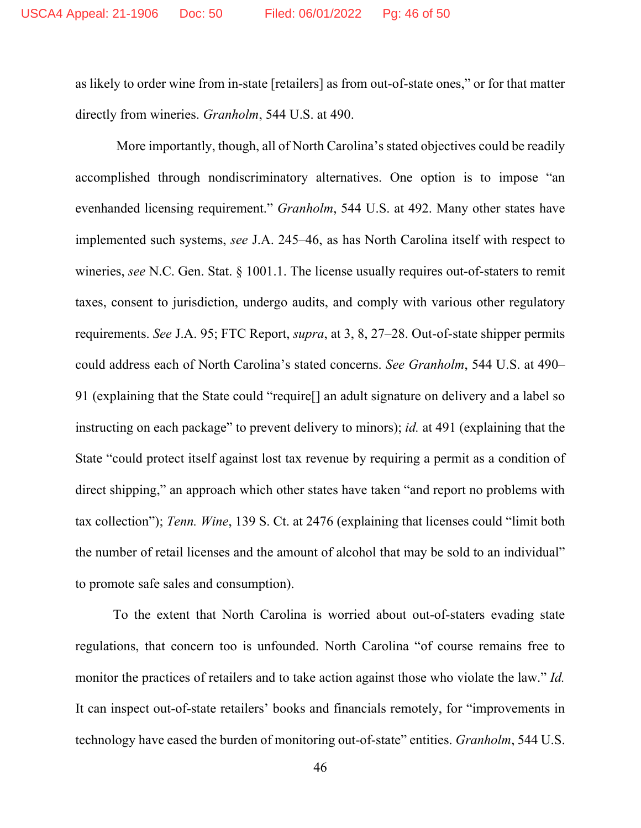as likely to order wine from in-state [retailers] as from out-of-state ones," or for that matter directly from wineries. *Granholm*, 544 U.S. at 490.

More importantly, though, all of North Carolina's stated objectives could be readily accomplished through nondiscriminatory alternatives. One option is to impose "an evenhanded licensing requirement." *Granholm*, 544 U.S. at 492. Many other states have implemented such systems, *see* J.A. 245–46, as has North Carolina itself with respect to wineries, *see* N.C. Gen. Stat. § 1001.1. The license usually requires out-of-staters to remit taxes, consent to jurisdiction, undergo audits, and comply with various other regulatory requirements. *See* J.A. 95; FTC Report, *supra*, at 3, 8, 27–28. Out-of-state shipper permits could address each of North Carolina's stated concerns. *See Granholm*, 544 U.S. at 490– 91 (explaining that the State could "require[] an adult signature on delivery and a label so instructing on each package" to prevent delivery to minors); *id.* at 491 (explaining that the State "could protect itself against lost tax revenue by requiring a permit as a condition of direct shipping," an approach which other states have taken "and report no problems with tax collection"); *Tenn. Wine*, 139 S. Ct. at 2476 (explaining that licenses could "limit both the number of retail licenses and the amount of alcohol that may be sold to an individual" to promote safe sales and consumption).

To the extent that North Carolina is worried about out-of-staters evading state regulations, that concern too is unfounded. North Carolina "of course remains free to monitor the practices of retailers and to take action against those who violate the law." *Id.* It can inspect out-of-state retailers' books and financials remotely, for "improvements in technology have eased the burden of monitoring out-of-state" entities. *Granholm*, 544 U.S.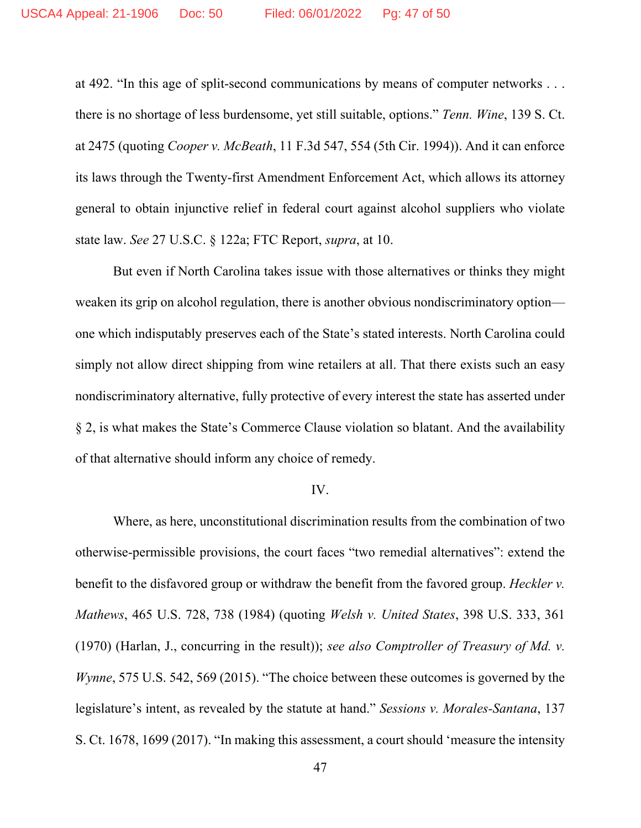at 492. "In this age of split-second communications by means of computer networks . . . there is no shortage of less burdensome, yet still suitable, options." *Tenn. Wine*, 139 S. Ct. at 2475 (quoting *Cooper v. McBeath*, 11 F.3d 547, 554 (5th Cir. 1994)). And it can enforce its laws through the Twenty-first Amendment Enforcement Act, which allows its attorney general to obtain injunctive relief in federal court against alcohol suppliers who violate state law. *See* 27 U.S.C. § 122a; FTC Report, *supra*, at 10.

But even if North Carolina takes issue with those alternatives or thinks they might weaken its grip on alcohol regulation, there is another obvious nondiscriminatory option one which indisputably preserves each of the State's stated interests. North Carolina could simply not allow direct shipping from wine retailers at all. That there exists such an easy nondiscriminatory alternative, fully protective of every interest the state has asserted under § 2, is what makes the State's Commerce Clause violation so blatant. And the availability of that alternative should inform any choice of remedy.

#### IV.

Where, as here, unconstitutional discrimination results from the combination of two otherwise-permissible provisions, the court faces "two remedial alternatives": extend the benefit to the disfavored group or withdraw the benefit from the favored group. *Heckler v. Mathews*, 465 U.S. 728, 738 (1984) (quoting *Welsh v. United States*, 398 U.S. 333, 361 (1970) (Harlan, J., concurring in the result)); *see also Comptroller of Treasury of Md. v. Wynne*, 575 U.S. 542, 569 (2015). "The choice between these outcomes is governed by the legislature's intent, as revealed by the statute at hand." *Sessions v. Morales-Santana*, 137 S. Ct. 1678, 1699 (2017). "In making this assessment, a court should 'measure the intensity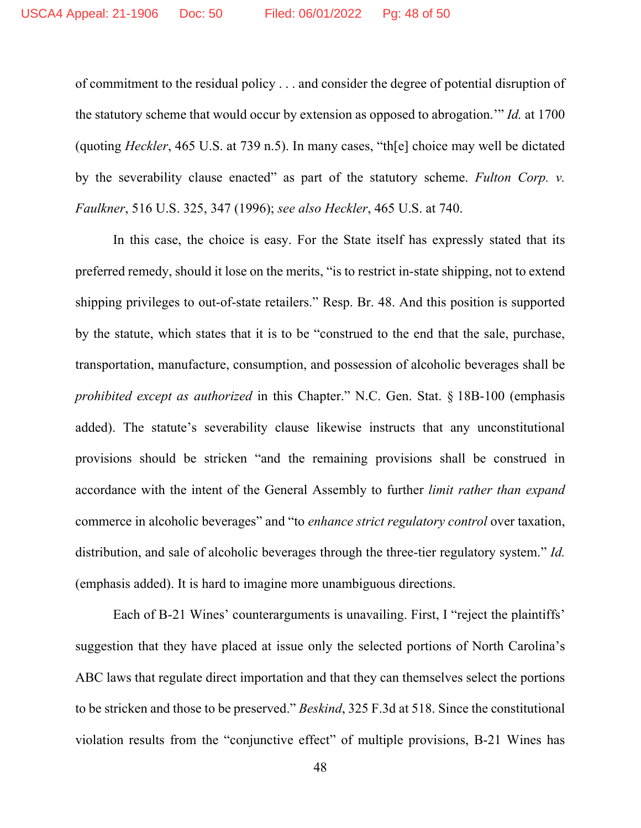of commitment to the residual policy . . . and consider the degree of potential disruption of the statutory scheme that would occur by extension as opposed to abrogation.'" *Id.* at 1700 (quoting *Heckler*, 465 U.S. at 739 n.5). In many cases, "th[e] choice may well be dictated by the severability clause enacted" as part of the statutory scheme. *Fulton Corp. v. Faulkner*, 516 U.S. 325, 347 (1996); *see also Heckler*, 465 U.S. at 740.

In this case, the choice is easy. For the State itself has expressly stated that its preferred remedy, should it lose on the merits, "is to restrict in-state shipping, not to extend shipping privileges to out-of-state retailers." Resp. Br. 48. And this position is supported by the statute, which states that it is to be "construed to the end that the sale, purchase, transportation, manufacture, consumption, and possession of alcoholic beverages shall be *prohibited except as authorized* in this Chapter." N.C. Gen. Stat. § 18B-100 (emphasis added). The statute's severability clause likewise instructs that any unconstitutional provisions should be stricken "and the remaining provisions shall be construed in accordance with the intent of the General Assembly to further *limit rather than expand*  commerce in alcoholic beverages" and "to *enhance strict regulatory control* over taxation, distribution, and sale of alcoholic beverages through the three-tier regulatory system." *Id.*  (emphasis added). It is hard to imagine more unambiguous directions.

Each of B-21 Wines' counterarguments is unavailing. First, I "reject the plaintiffs' suggestion that they have placed at issue only the selected portions of North Carolina's ABC laws that regulate direct importation and that they can themselves select the portions to be stricken and those to be preserved." *Beskind*, 325 F.3d at 518. Since the constitutional violation results from the "conjunctive effect" of multiple provisions, B-21 Wines has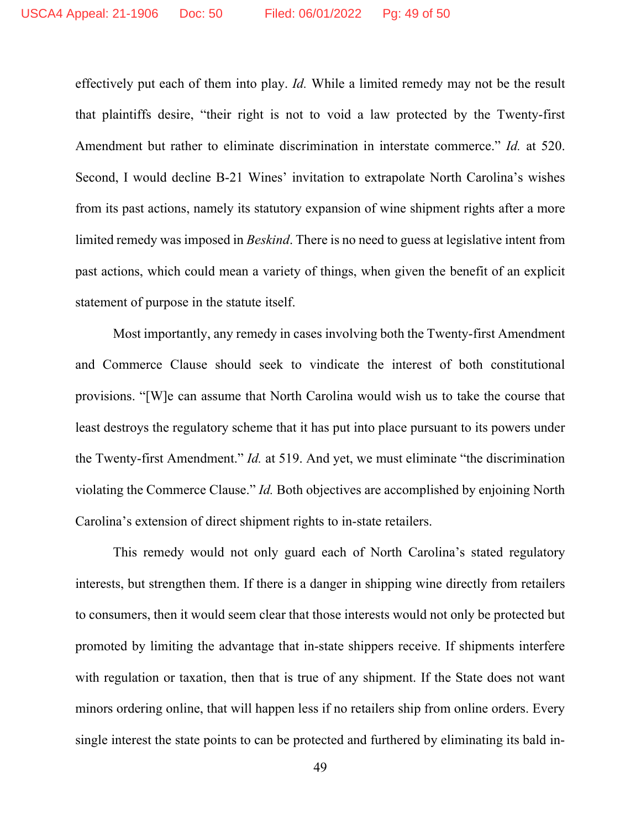effectively put each of them into play. *Id.* While a limited remedy may not be the result that plaintiffs desire, "their right is not to void a law protected by the Twenty-first Amendment but rather to eliminate discrimination in interstate commerce." *Id.* at 520. Second, I would decline B-21 Wines' invitation to extrapolate North Carolina's wishes from its past actions, namely its statutory expansion of wine shipment rights after a more limited remedy was imposed in *Beskind*. There is no need to guess at legislative intent from past actions, which could mean a variety of things, when given the benefit of an explicit statement of purpose in the statute itself.

Most importantly, any remedy in cases involving both the Twenty-first Amendment and Commerce Clause should seek to vindicate the interest of both constitutional provisions. "[W]e can assume that North Carolina would wish us to take the course that least destroys the regulatory scheme that it has put into place pursuant to its powers under the Twenty-first Amendment." *Id.* at 519. And yet, we must eliminate "the discrimination violating the Commerce Clause." *Id.* Both objectives are accomplished by enjoining North Carolina's extension of direct shipment rights to in-state retailers.

This remedy would not only guard each of North Carolina's stated regulatory interests, but strengthen them. If there is a danger in shipping wine directly from retailers to consumers, then it would seem clear that those interests would not only be protected but promoted by limiting the advantage that in-state shippers receive. If shipments interfere with regulation or taxation, then that is true of any shipment. If the State does not want minors ordering online, that will happen less if no retailers ship from online orders. Every single interest the state points to can be protected and furthered by eliminating its bald in